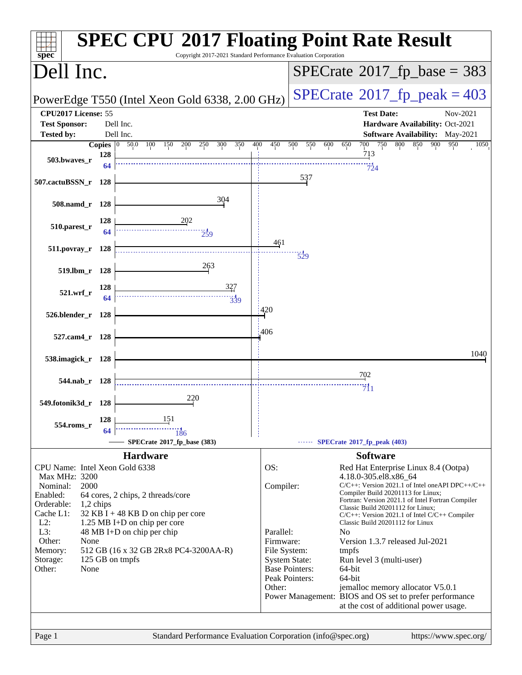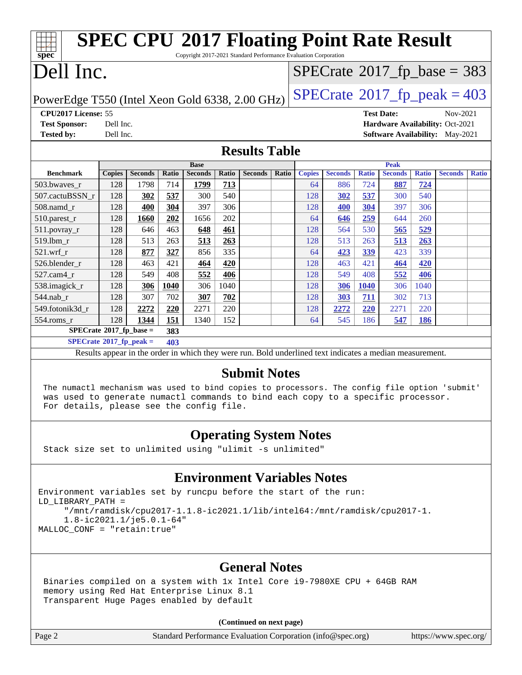| <b>SPEC CPU®2017 Floating Point Rate Result</b><br>ĦТ<br>Copyright 2017-2021 Standard Performance Evaluation Corporation<br>spec |                     |                |       |                |              |                                                                                                          |       |                                 |                |                   |                |              |                                            |              |
|----------------------------------------------------------------------------------------------------------------------------------|---------------------|----------------|-------|----------------|--------------|----------------------------------------------------------------------------------------------------------|-------|---------------------------------|----------------|-------------------|----------------|--------------|--------------------------------------------|--------------|
| Dell Inc.                                                                                                                        |                     |                |       |                |              |                                                                                                          |       |                                 |                |                   |                |              | $SPECrate$ <sup>®</sup> 2017_fp_base = 383 |              |
| $SPECTate@2017_fp\_peak = 403$<br>PowerEdge T550 (Intel Xeon Gold 6338, 2.00 GHz)                                                |                     |                |       |                |              |                                                                                                          |       |                                 |                |                   |                |              |                                            |              |
|                                                                                                                                  | CPU2017 License: 55 |                |       |                |              |                                                                                                          |       |                                 |                | <b>Test Date:</b> |                | Nov-2021     |                                            |              |
| <b>Test Sponsor:</b>                                                                                                             | Dell Inc.           |                |       |                |              |                                                                                                          |       | Hardware Availability: Oct-2021 |                |                   |                |              |                                            |              |
| <b>Tested by:</b>                                                                                                                | Dell Inc.           |                |       |                |              |                                                                                                          |       |                                 |                |                   |                |              | <b>Software Availability:</b> May-2021     |              |
| <b>Results Table</b>                                                                                                             |                     |                |       |                |              |                                                                                                          |       |                                 |                |                   |                |              |                                            |              |
|                                                                                                                                  |                     |                |       | <b>Base</b>    |              |                                                                                                          |       |                                 |                |                   | Peak           |              |                                            |              |
| <b>Benchmark</b>                                                                                                                 | <b>Copies</b>       | <b>Seconds</b> | Ratio | <b>Seconds</b> | <b>Ratio</b> | <b>Seconds</b>                                                                                           | Ratio | <b>Copies</b>                   | <b>Seconds</b> | <b>Ratio</b>      | <b>Seconds</b> | <b>Ratio</b> | <b>Seconds</b>                             | <b>Ratio</b> |
| 503.bwaves_r                                                                                                                     | 128                 | 1798           | 714   | 1799           | 713          |                                                                                                          |       | 64                              | 886            | 724               | 887            | 724          |                                            |              |
| 507.cactuBSSN_r                                                                                                                  | 128                 | 302            | 537   | 300            | 540          |                                                                                                          |       | 128                             | 302            | 537               | 300            | 540          |                                            |              |
| 508.namd r                                                                                                                       | 128                 | 400            | 304   | 397            | 306          |                                                                                                          |       | 128                             | 400            | 304               | 397            | 306          |                                            |              |
| 510.parest_r                                                                                                                     | 128                 | 1660           | 202   | 1656           | 202          |                                                                                                          |       | 64                              | 646            | 259               | 644            | 260          |                                            |              |
| 511.povray_r                                                                                                                     | 128                 | 646            | 463   | 648            | 461          |                                                                                                          |       | 128                             | 564            | 530               | 565            | 529          |                                            |              |
| 519.1bm r                                                                                                                        | 128                 | 513            | 263   | 513            | 263          |                                                                                                          |       | 128                             | 513            | 263               | 513            | 263          |                                            |              |
| $521$ .wrf r                                                                                                                     | 128                 | 877            | 327   | 856            | 335          |                                                                                                          |       | 64                              | 423            | 339               | 423            | 339          |                                            |              |
| 526.blender_r                                                                                                                    | 128                 | 463            | 421   | 464            | 420          |                                                                                                          |       | 128                             | 463            | 421               | 464            | 420          |                                            |              |
| 527.cam4_r                                                                                                                       | 128                 | 549            | 408   | 552            | 406          |                                                                                                          |       | 128                             | 549            | 408               | 552            | 406          |                                            |              |
| 538.imagick_r                                                                                                                    | 128                 | 306            | 1040  | 306            | 1040         |                                                                                                          |       | 128                             | 306            | <b>1040</b>       | 306            | 1040         |                                            |              |
| 544.nab r                                                                                                                        | 128                 | 307            | 702   | 307            | 702          |                                                                                                          |       | 128                             | <b>303</b>     | 711               | 302            | 713          |                                            |              |
| 549.fotonik3d_r                                                                                                                  | 128                 | 2272           | 220   | 2271           | 220          |                                                                                                          |       | 128                             | 2272           | 220               | 2271           | 220          |                                            |              |
| 554.roms_r                                                                                                                       | 128                 | 1344           | 151   | 1340           | 152          |                                                                                                          |       | 64                              | 545            | 186               | 547            | 186          |                                            |              |
| $SPECrate*2017_fp\_base =$                                                                                                       |                     |                | 383   |                |              |                                                                                                          |       |                                 |                |                   |                |              |                                            |              |
| $SPECrate^{\otimes}2017$ _fp_peak =                                                                                              |                     |                | 403   |                |              |                                                                                                          |       |                                 |                |                   |                |              |                                            |              |
|                                                                                                                                  |                     |                |       |                |              | Results appear in the order in which they were run. Bold underlined text indicates a median measurement. |       |                                 |                |                   |                |              |                                            |              |
| <b>Submit Notes</b>                                                                                                              |                     |                |       |                |              |                                                                                                          |       |                                 |                |                   |                |              |                                            |              |

 The numactl mechanism was used to bind copies to processors. The config file option 'submit' was used to generate numactl commands to bind each copy to a specific processor. For details, please see the config file.

### **[Operating System Notes](http://www.spec.org/auto/cpu2017/Docs/result-fields.html#OperatingSystemNotes)**

Stack size set to unlimited using "ulimit -s unlimited"

### **[Environment Variables Notes](http://www.spec.org/auto/cpu2017/Docs/result-fields.html#EnvironmentVariablesNotes)**

Environment variables set by runcpu before the start of the run: LD\_LIBRARY\_PATH = "/mnt/ramdisk/cpu2017-1.1.8-ic2021.1/lib/intel64:/mnt/ramdisk/cpu2017-1. 1.8-ic2021.1/je5.0.1-64" MALLOC\_CONF = "retain:true"

### **[General Notes](http://www.spec.org/auto/cpu2017/Docs/result-fields.html#GeneralNotes)**

 Binaries compiled on a system with 1x Intel Core i9-7980XE CPU + 64GB RAM memory using Red Hat Enterprise Linux 8.1 Transparent Huge Pages enabled by default

### **(Continued on next page)**

Page 2 Standard Performance Evaluation Corporation [\(info@spec.org\)](mailto:info@spec.org) <https://www.spec.org/>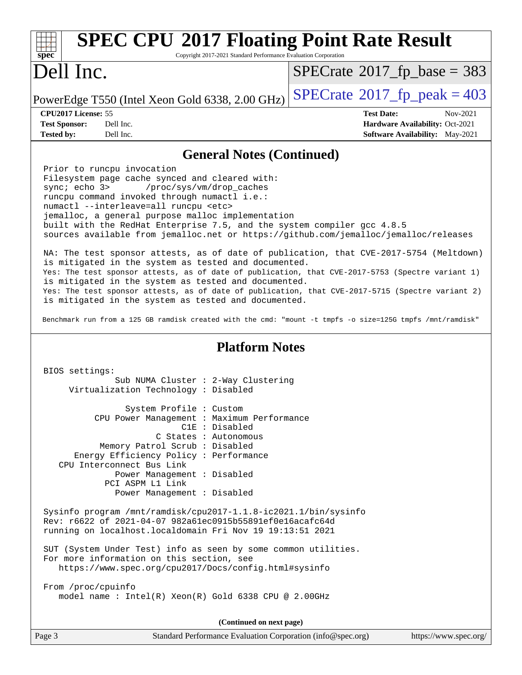| <b>SPEC CPU®2017 Floating Point Rate Result</b><br>$spec*$<br>Copyright 2017-2021 Standard Performance Evaluation Corporation                                                                                                                                                                                                                                                                                                                                                                                                                                                                                                                                                                                                                                                                          |                                                                                                            |  |  |  |  |  |  |
|--------------------------------------------------------------------------------------------------------------------------------------------------------------------------------------------------------------------------------------------------------------------------------------------------------------------------------------------------------------------------------------------------------------------------------------------------------------------------------------------------------------------------------------------------------------------------------------------------------------------------------------------------------------------------------------------------------------------------------------------------------------------------------------------------------|------------------------------------------------------------------------------------------------------------|--|--|--|--|--|--|
| Dell Inc.                                                                                                                                                                                                                                                                                                                                                                                                                                                                                                                                                                                                                                                                                                                                                                                              | $SPECrate^{\circ}2017$ _fp_base = 383                                                                      |  |  |  |  |  |  |
| PowerEdge T550 (Intel Xeon Gold 6338, 2.00 GHz)                                                                                                                                                                                                                                                                                                                                                                                                                                                                                                                                                                                                                                                                                                                                                        | $SPECTate@2017_fp\_peak = 403$                                                                             |  |  |  |  |  |  |
| CPU2017 License: 55<br><b>Test Sponsor:</b><br>Dell Inc.<br><b>Tested by:</b><br>Dell Inc.                                                                                                                                                                                                                                                                                                                                                                                                                                                                                                                                                                                                                                                                                                             | <b>Test Date:</b><br>Nov-2021<br>Hardware Availability: Oct-2021<br><b>Software Availability:</b> May-2021 |  |  |  |  |  |  |
|                                                                                                                                                                                                                                                                                                                                                                                                                                                                                                                                                                                                                                                                                                                                                                                                        |                                                                                                            |  |  |  |  |  |  |
| <b>General Notes (Continued)</b><br>Prior to runcpu invocation<br>Filesystem page cache synced and cleared with:<br>sync: echo 3> /proc/sys/vm/drop_caches<br>runcpu command invoked through numactl i.e.:<br>numactl --interleave=all runcpu <etc><br/>jemalloc, a general purpose malloc implementation<br/>built with the RedHat Enterprise 7.5, and the system compiler gcc 4.8.5<br/>sources available from jemalloc.net or https://github.com/jemalloc/jemalloc/releases<br/>NA: The test sponsor attests, as of date of publication, that CVE-2017-5754 (Meltdown)<br/>is mitigated in the system as tested and documented.<br/>Yes: The test sponsor attests, as of date of publication, that CVE-2017-5753 (Spectre variant 1)<br/>is mitigated in the system as tested and documented.</etc> |                                                                                                            |  |  |  |  |  |  |
| Yes: The test sponsor attests, as of date of publication, that CVE-2017-5715 (Spectre variant 2)<br>is mitigated in the system as tested and documented.<br>Benchmark run from a 125 GB ramdisk created with the cmd: "mount -t tmpfs -o size=125G tmpfs /mnt/ramdisk"                                                                                                                                                                                                                                                                                                                                                                                                                                                                                                                                 |                                                                                                            |  |  |  |  |  |  |
|                                                                                                                                                                                                                                                                                                                                                                                                                                                                                                                                                                                                                                                                                                                                                                                                        |                                                                                                            |  |  |  |  |  |  |
| <b>Platform Notes</b>                                                                                                                                                                                                                                                                                                                                                                                                                                                                                                                                                                                                                                                                                                                                                                                  |                                                                                                            |  |  |  |  |  |  |
| BIOS settings:<br>Sub NUMA Cluster : 2-Way Clustering<br>Virtualization Technology : Disabled                                                                                                                                                                                                                                                                                                                                                                                                                                                                                                                                                                                                                                                                                                          |                                                                                                            |  |  |  |  |  |  |
| System Profile : Custom<br>CPU Power Management : Maximum Performance<br>C1E : Disabled<br>C States : Autonomous<br>Memory Patrol Scrub: Disabled<br>Energy Efficiency Policy : Performance<br>CPU Interconnect Bus Link<br>Power Management : Disabled<br>PCI ASPM L1 Link<br>Power Management : Disabled                                                                                                                                                                                                                                                                                                                                                                                                                                                                                             |                                                                                                            |  |  |  |  |  |  |
| Sysinfo program /mnt/ramdisk/cpu2017-1.1.8-ic2021.1/bin/sysinfo<br>Rev: r6622 of 2021-04-07 982a61ec0915b55891ef0e16acafc64d<br>running on localhost.localdomain Fri Nov 19 19:13:51 2021                                                                                                                                                                                                                                                                                                                                                                                                                                                                                                                                                                                                              |                                                                                                            |  |  |  |  |  |  |
| SUT (System Under Test) info as seen by some common utilities.<br>For more information on this section, see<br>https://www.spec.org/cpu2017/Docs/config.html#sysinfo                                                                                                                                                                                                                                                                                                                                                                                                                                                                                                                                                                                                                                   |                                                                                                            |  |  |  |  |  |  |
| From /proc/cpuinfo<br>model name : Intel(R) Xeon(R) Gold 6338 CPU @ 2.00GHz                                                                                                                                                                                                                                                                                                                                                                                                                                                                                                                                                                                                                                                                                                                            |                                                                                                            |  |  |  |  |  |  |
| (Continued on next page)                                                                                                                                                                                                                                                                                                                                                                                                                                                                                                                                                                                                                                                                                                                                                                               |                                                                                                            |  |  |  |  |  |  |
| Standard Performance Evaluation Corporation (info@spec.org)<br>Page 3                                                                                                                                                                                                                                                                                                                                                                                                                                                                                                                                                                                                                                                                                                                                  | https://www.spec.org/                                                                                      |  |  |  |  |  |  |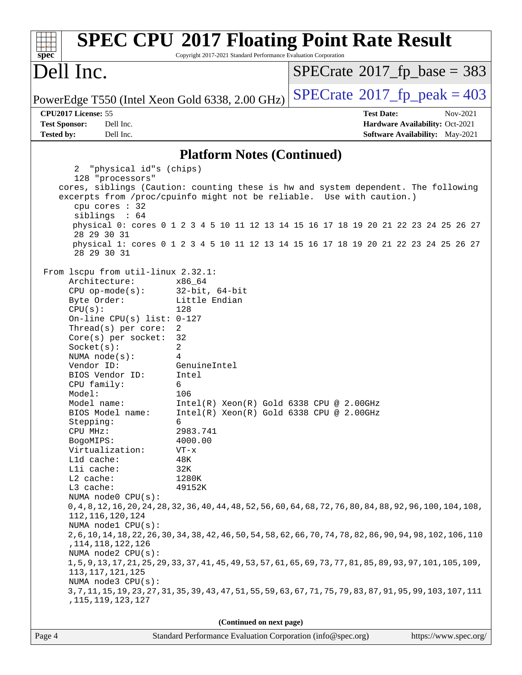| spec <sup>®</sup>                                                                                                                                                                                                                                                                                                                                                                                                                                                                                                                                                                                                                  | <b>SPEC CPU®2017 Floating Point Rate Result</b><br>Copyright 2017-2021 Standard Performance Evaluation Corporation                                                                                                                                                                                                                                                                                                                                                                                                                                                                                                                                                                                                             |                                            |                                                                                       |
|------------------------------------------------------------------------------------------------------------------------------------------------------------------------------------------------------------------------------------------------------------------------------------------------------------------------------------------------------------------------------------------------------------------------------------------------------------------------------------------------------------------------------------------------------------------------------------------------------------------------------------|--------------------------------------------------------------------------------------------------------------------------------------------------------------------------------------------------------------------------------------------------------------------------------------------------------------------------------------------------------------------------------------------------------------------------------------------------------------------------------------------------------------------------------------------------------------------------------------------------------------------------------------------------------------------------------------------------------------------------------|--------------------------------------------|---------------------------------------------------------------------------------------|
| Dell Inc.                                                                                                                                                                                                                                                                                                                                                                                                                                                                                                                                                                                                                          |                                                                                                                                                                                                                                                                                                                                                                                                                                                                                                                                                                                                                                                                                                                                | $SPECrate^{\circ}2017$ fp base = 383       |                                                                                       |
| PowerEdge T550 (Intel Xeon Gold 6338, 2.00 GHz)                                                                                                                                                                                                                                                                                                                                                                                                                                                                                                                                                                                    |                                                                                                                                                                                                                                                                                                                                                                                                                                                                                                                                                                                                                                                                                                                                | $SPECTate$ <sup>®</sup> 2017_fp_peak = 403 |                                                                                       |
| CPU2017 License: 55<br><b>Test Sponsor:</b><br>Dell Inc.<br><b>Tested by:</b><br>Dell Inc.                                                                                                                                                                                                                                                                                                                                                                                                                                                                                                                                         |                                                                                                                                                                                                                                                                                                                                                                                                                                                                                                                                                                                                                                                                                                                                | <b>Test Date:</b>                          | Nov-2021<br>Hardware Availability: Oct-2021<br><b>Software Availability:</b> May-2021 |
|                                                                                                                                                                                                                                                                                                                                                                                                                                                                                                                                                                                                                                    |                                                                                                                                                                                                                                                                                                                                                                                                                                                                                                                                                                                                                                                                                                                                |                                            |                                                                                       |
| 2 "physical id"s (chips)                                                                                                                                                                                                                                                                                                                                                                                                                                                                                                                                                                                                           | <b>Platform Notes (Continued)</b>                                                                                                                                                                                                                                                                                                                                                                                                                                                                                                                                                                                                                                                                                              |                                            |                                                                                       |
| 128 "processors"<br>cpu cores : 32<br>siblings : 64<br>28 29 30 31                                                                                                                                                                                                                                                                                                                                                                                                                                                                                                                                                                 | cores, siblings (Caution: counting these is hw and system dependent. The following<br>excerpts from /proc/cpuinfo might not be reliable. Use with caution.)<br>physical 0: cores 0 1 2 3 4 5 10 11 12 13 14 15 16 17 18 19 20 21 22 23 24 25 26 27<br>physical 1: cores 0 1 2 3 4 5 10 11 12 13 14 15 16 17 18 19 20 21 22 23 24 25 26 27                                                                                                                                                                                                                                                                                                                                                                                      |                                            |                                                                                       |
| 28 29 30 31<br>From 1scpu from util-linux 2.32.1:<br>Architecture:<br>$CPU$ op-mode(s):<br>Byte Order:<br>CPU(s):<br>On-line CPU(s) list: $0-127$<br>Thread(s) per core:<br>$Core(s)$ per socket:<br>Socket(s):<br>NUMA $node(s):$<br>Vendor ID:<br>BIOS Vendor ID:<br>CPU family:<br>Model:<br>Model name:<br>BIOS Model name:<br>Stepping:<br>CPU MHz:<br>BogoMIPS:<br>Virtualization:<br>L1d cache:<br>Lli cache:<br>L2 cache:<br>L3 cache:<br>NUMA node0 CPU(s):<br>112, 116, 120, 124<br>NUMA nodel CPU(s):<br>, 114, 118, 122, 126<br>NUMA node2 CPU(s):<br>113, 117, 121, 125<br>NUMA node3 CPU(s):<br>, 115, 119, 123, 127 | x86 64<br>32-bit, 64-bit<br>Little Endian<br>128<br>2<br>32<br>2<br>4<br>GenuineIntel<br>Intel<br>6<br>106<br>$Intel(R) Xeon(R) Gold 6338 CPU @ 2.00GHz$<br>Intel(R) Xeon(R) Gold 6338 CPU @ 2.00GHz<br>6<br>2983.741<br>4000.00<br>$VT - x$<br>48K<br>32K<br>1280K<br>49152K<br>0, 4, 8, 12, 16, 20, 24, 28, 32, 36, 40, 44, 48, 52, 56, 60, 64, 68, 72, 76, 80, 84, 88, 92, 96, 100, 104, 108,<br>2,6,10,14,18,22,26,30,34,38,42,46,50,54,58,62,66,70,74,78,82,86,90,94,98,102,106,110<br>1, 5, 9, 13, 17, 21, 25, 29, 33, 37, 41, 45, 49, 53, 57, 61, 65, 69, 73, 77, 81, 85, 89, 93, 97, 101, 105, 109,<br>3, 7, 11, 15, 19, 23, 27, 31, 35, 39, 43, 47, 51, 55, 59, 63, 67, 71, 75, 79, 83, 87, 91, 95, 99, 103, 107, 111 |                                            |                                                                                       |
|                                                                                                                                                                                                                                                                                                                                                                                                                                                                                                                                                                                                                                    | (Continued on next page)                                                                                                                                                                                                                                                                                                                                                                                                                                                                                                                                                                                                                                                                                                       |                                            |                                                                                       |
| Page 4                                                                                                                                                                                                                                                                                                                                                                                                                                                                                                                                                                                                                             | Standard Performance Evaluation Corporation (info@spec.org)                                                                                                                                                                                                                                                                                                                                                                                                                                                                                                                                                                                                                                                                    |                                            | https://www.spec.org/                                                                 |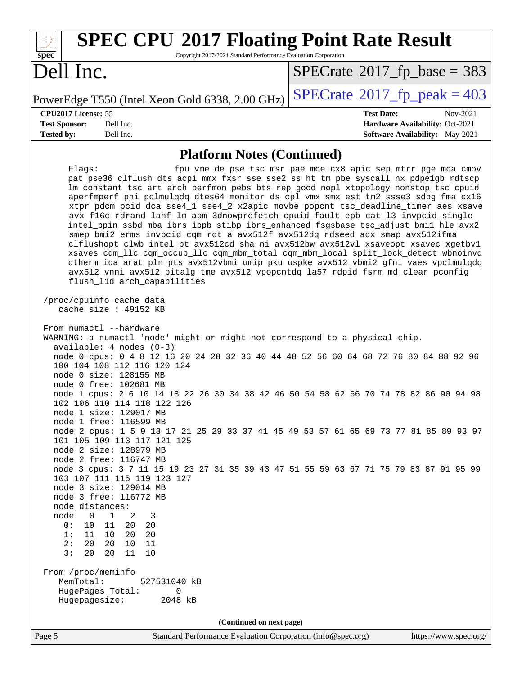| <b>SPEC CPU®2017 Floating Point Rate Result</b><br>Copyright 2017-2021 Standard Performance Evaluation Corporation<br>$\mathbf{Spec}^*$                                                                                                                                                                                                                                                                                                                                                                                                                                                                                                                                                                                                                                                                                                                                                                                                                                                                                                                                                                                                                                                                                                                                                                                                                                                                                                                                            |                                                                                                            |
|------------------------------------------------------------------------------------------------------------------------------------------------------------------------------------------------------------------------------------------------------------------------------------------------------------------------------------------------------------------------------------------------------------------------------------------------------------------------------------------------------------------------------------------------------------------------------------------------------------------------------------------------------------------------------------------------------------------------------------------------------------------------------------------------------------------------------------------------------------------------------------------------------------------------------------------------------------------------------------------------------------------------------------------------------------------------------------------------------------------------------------------------------------------------------------------------------------------------------------------------------------------------------------------------------------------------------------------------------------------------------------------------------------------------------------------------------------------------------------|------------------------------------------------------------------------------------------------------------|
| Dell Inc.                                                                                                                                                                                                                                                                                                                                                                                                                                                                                                                                                                                                                                                                                                                                                                                                                                                                                                                                                                                                                                                                                                                                                                                                                                                                                                                                                                                                                                                                          | $SPECTate$ <sup>®</sup> 2017_fp_base = 383                                                                 |
| PowerEdge T550 (Intel Xeon Gold 6338, 2.00 GHz)                                                                                                                                                                                                                                                                                                                                                                                                                                                                                                                                                                                                                                                                                                                                                                                                                                                                                                                                                                                                                                                                                                                                                                                                                                                                                                                                                                                                                                    | $SPECrate$ <sup>®</sup> 2017_fp_peak = 403                                                                 |
| CPU2017 License: 55<br>Dell Inc.<br><b>Test Sponsor:</b><br><b>Tested by:</b><br>Dell Inc.                                                                                                                                                                                                                                                                                                                                                                                                                                                                                                                                                                                                                                                                                                                                                                                                                                                                                                                                                                                                                                                                                                                                                                                                                                                                                                                                                                                         | <b>Test Date:</b><br>Nov-2021<br>Hardware Availability: Oct-2021<br><b>Software Availability:</b> May-2021 |
| <b>Platform Notes (Continued)</b>                                                                                                                                                                                                                                                                                                                                                                                                                                                                                                                                                                                                                                                                                                                                                                                                                                                                                                                                                                                                                                                                                                                                                                                                                                                                                                                                                                                                                                                  |                                                                                                            |
| Flagg:<br>pat pse36 clflush dts acpi mmx fxsr sse sse2 ss ht tm pbe syscall nx pdpelgb rdtscp<br>lm constant_tsc art arch_perfmon pebs bts rep_good nopl xtopology nonstop_tsc cpuid<br>aperfmperf pni pclmulqdq dtes64 monitor ds_cpl vmx smx est tm2 ssse3 sdbg fma cx16<br>xtpr pdcm pcid dca sse4_1 sse4_2 x2apic movbe popcnt tsc_deadline_timer aes xsave<br>avx f16c rdrand lahf_lm abm 3dnowprefetch cpuid_fault epb cat_13 invpcid_single<br>intel_ppin ssbd mba ibrs ibpb stibp ibrs_enhanced fsgsbase tsc_adjust bmil hle avx2<br>smep bmi2 erms invpcid cqm rdt_a avx512f avx512dq rdseed adx smap avx512ifma<br>clflushopt clwb intel_pt avx512cd sha_ni avx512bw avx512vl xsaveopt xsavec xgetbvl<br>xsaves cqm_llc cqm_occup_llc cqm_mbm_total cqm_mbm_local split_lock_detect wbnoinvd<br>dtherm ida arat pln pts avx512vbmi umip pku ospke avx512_vbmi2 gfni vaes vpclmulqdq<br>avx512_vnni avx512_bitalg tme avx512_vpopcntdq la57 rdpid fsrm md_clear pconfig<br>flush_l1d arch_capabilities<br>/proc/cpuinfo cache data<br>cache size $: 49152$ KB<br>From numactl --hardware<br>WARNING: a numactl 'node' might or might not correspond to a physical chip.<br>$available: 4 nodes (0-3)$<br>node 0 cpus: 0 4 8 12 16 20 24 28 32 36 40 44 48 52 56 60 64 68 72 76 80 84 88 92 96<br>100 104 108 112 116 120 124<br>node 0 size: 128155 MB<br>node 0 free: 102681 MB<br>node 1 cpus: 2 6 10 14 18 22 26 30 34 38 42 46 50 54 58 62 66 70 74 78 82 86 90 94 98 | fpu vme de pse tsc msr pae mce cx8 apic sep mtrr pge mca cmov                                              |
| 102 106 110 114 118 122 126<br>node 1 size: 129017 MB<br>node 1 free: 116599 MB                                                                                                                                                                                                                                                                                                                                                                                                                                                                                                                                                                                                                                                                                                                                                                                                                                                                                                                                                                                                                                                                                                                                                                                                                                                                                                                                                                                                    |                                                                                                            |
| node 2 cpus: 1 5 9 13 17 21 25 29 33 37 41 45 49 53 57 61 65 69 73 77 81 85 89 93 97<br>101 105 109 113 117 121 125<br>node 2 size: 128979 MB<br>node 2 free: 116747 MB<br>node 3 cpus: 3 7 11 15 19 23 27 31 35 39 43 47 51 55 59 63 67 71 75 79 83 87 91 95 99<br>103 107 111 115 119 123 127<br>node 3 size: 129014 MB<br>node 3 free: 116772 MB<br>node distances:<br>node<br>$\mathbf 1$<br>0<br>2<br>3<br>0:<br>10<br>11<br>20<br>20<br>1:<br>10<br>11<br>20<br>20<br>2:<br>20<br>20<br>10<br>11<br>3:<br>20<br>20<br>10<br>11<br>From /proc/meminfo<br>MemTotal:<br>527531040 kB<br>HugePages_Total:<br>0<br>Hugepagesize:<br>2048 kB<br>(Continued on next page)                                                                                                                                                                                                                                                                                                                                                                                                                                                                                                                                                                                                                                                                                                                                                                                                           |                                                                                                            |
| Standard Performance Evaluation Corporation (info@spec.org)<br>Page 5                                                                                                                                                                                                                                                                                                                                                                                                                                                                                                                                                                                                                                                                                                                                                                                                                                                                                                                                                                                                                                                                                                                                                                                                                                                                                                                                                                                                              | https://www.spec.org/                                                                                      |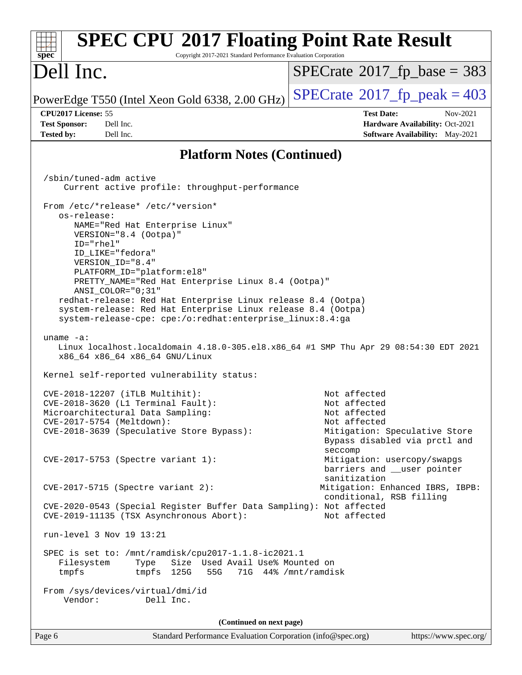| <b>SPEC CPU®2017 Floating Point Rate Result</b><br>Copyright 2017-2021 Standard Performance Evaluation Corporation<br>spec <sup>®</sup>                                                   |                                                                                                            |
|-------------------------------------------------------------------------------------------------------------------------------------------------------------------------------------------|------------------------------------------------------------------------------------------------------------|
| Dell Inc.                                                                                                                                                                                 | $SPECrate^{\circ}2017$ [p base = 383                                                                       |
| PowerEdge T550 (Intel Xeon Gold 6338, 2.00 GHz)                                                                                                                                           | $SPECTate@2017fr peak = 403$                                                                               |
| CPU2017 License: 55<br>Dell Inc.<br><b>Test Sponsor:</b><br>Dell Inc.<br><b>Tested by:</b>                                                                                                | <b>Test Date:</b><br>Nov-2021<br>Hardware Availability: Oct-2021<br><b>Software Availability:</b> May-2021 |
| <b>Platform Notes (Continued)</b>                                                                                                                                                         |                                                                                                            |
| /sbin/tuned-adm active                                                                                                                                                                    |                                                                                                            |
| Current active profile: throughput-performance                                                                                                                                            |                                                                                                            |
| From /etc/*release* /etc/*version*                                                                                                                                                        |                                                                                                            |
| os-release:<br>NAME="Red Hat Enterprise Linux"<br>VERSION="8.4 (Ootpa)"                                                                                                                   |                                                                                                            |
| ID="rhel"<br>ID_LIKE="fedora"                                                                                                                                                             |                                                                                                            |
| VERSION ID="8.4"<br>PLATFORM ID="platform:el8"                                                                                                                                            |                                                                                                            |
| PRETTY_NAME="Red Hat Enterprise Linux 8.4 (Ootpa)"<br>ANSI_COLOR="0;31"                                                                                                                   |                                                                                                            |
| redhat-release: Red Hat Enterprise Linux release 8.4 (Ootpa)<br>system-release: Red Hat Enterprise Linux release 8.4 (Ootpa)<br>system-release-cpe: cpe:/o:redhat:enterprise_linux:8.4:ga |                                                                                                            |
| uname $-a$ :<br>Linux localhost.localdomain 4.18.0-305.el8.x86_64 #1 SMP Thu Apr 29 08:54:30 EDT 2021<br>x86_64 x86_64 x86_64 GNU/Linux                                                   |                                                                                                            |
| Kernel self-reported vulnerability status:                                                                                                                                                |                                                                                                            |
| CVE-2018-12207 (iTLB Multihit):                                                                                                                                                           | Not affected                                                                                               |
| CVE-2018-3620 (L1 Terminal Fault):<br>Microarchitectural Data Sampling:                                                                                                                   | Not affected<br>Not affected                                                                               |
| CVE-2017-5754 (Meltdown):<br>CVE-2018-3639 (Speculative Store Bypass):                                                                                                                    | Not affected<br>Mitigation: Speculative Store<br>Bypass disabled via prctl and<br>seccomp                  |
| CVE-2017-5753 (Spectre variant 1):                                                                                                                                                        | Mitigation: usercopy/swapgs<br>barriers and __user pointer<br>sanitization                                 |
| $CVE-2017-5715$ (Spectre variant 2):                                                                                                                                                      | Mitigation: Enhanced IBRS, IBPB:<br>conditional, RSB filling                                               |
| CVE-2020-0543 (Special Register Buffer Data Sampling): Not affected<br>CVE-2019-11135 (TSX Asynchronous Abort):                                                                           | Not affected                                                                                               |
| run-level 3 Nov 19 13:21                                                                                                                                                                  |                                                                                                            |
| SPEC is set to: /mnt/ramdisk/cpu2017-1.1.8-ic2021.1<br>Size Used Avail Use% Mounted on<br>Filesystem<br>Type<br>tmpfs 125G<br>tmpfs<br>55G                                                | 71G 44% / mnt/ramdisk                                                                                      |
| From /sys/devices/virtual/dmi/id<br>Vendor:<br>Dell Inc.                                                                                                                                  |                                                                                                            |
| (Continued on next page)                                                                                                                                                                  |                                                                                                            |
| Standard Performance Evaluation Corporation (info@spec.org)<br>Page 6                                                                                                                     | https://www.spec.org/                                                                                      |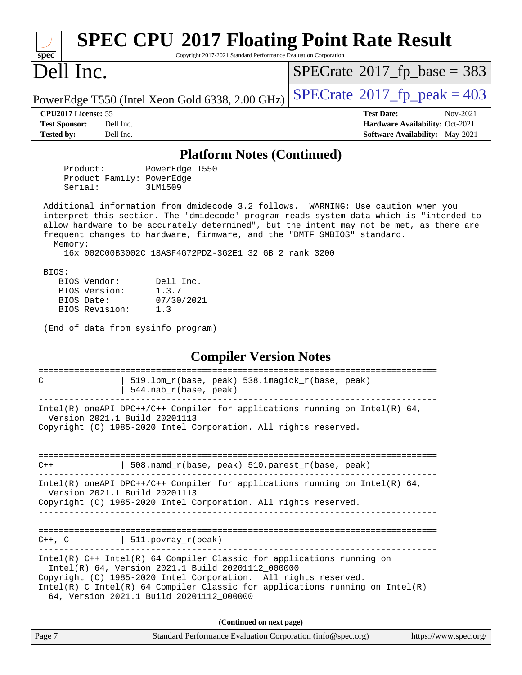| <b>SPEC CPU®2017 Floating Point Rate Result</b><br>Copyright 2017-2021 Standard Performance Evaluation Corporation<br>$spec^*$                                                                                                                                                                                                                                                                                         |                                                                                                            |
|------------------------------------------------------------------------------------------------------------------------------------------------------------------------------------------------------------------------------------------------------------------------------------------------------------------------------------------------------------------------------------------------------------------------|------------------------------------------------------------------------------------------------------------|
| Dell Inc.                                                                                                                                                                                                                                                                                                                                                                                                              | $SPECrate^{\circ}2017$ fp base = 383                                                                       |
| PowerEdge T550 (Intel Xeon Gold 6338, 2.00 GHz)                                                                                                                                                                                                                                                                                                                                                                        | $SPECTate^{\circ}2017$ fp peak = 403                                                                       |
| CPU <sub>2017</sub> License: 55<br><b>Test Sponsor:</b><br>Dell Inc.<br><b>Tested by:</b><br>Dell Inc.                                                                                                                                                                                                                                                                                                                 | <b>Test Date:</b><br>Nov-2021<br>Hardware Availability: Oct-2021<br><b>Software Availability:</b> May-2021 |
| <b>Platform Notes (Continued)</b>                                                                                                                                                                                                                                                                                                                                                                                      |                                                                                                            |
| PowerEdge T550<br>Product:<br>Product Family: PowerEdge<br>Serial:<br>3LM1509                                                                                                                                                                                                                                                                                                                                          |                                                                                                            |
| Additional information from dmidecode 3.2 follows. WARNING: Use caution when you<br>interpret this section. The 'dmidecode' program reads system data which is "intended to<br>allow hardware to be accurately determined", but the intent may not be met, as there are<br>frequent changes to hardware, firmware, and the "DMTF SMBIOS" standard.<br>Memory:<br>16x 002C00B3002C 18ASF4G72PDZ-3G2E1 32 GB 2 rank 3200 |                                                                                                            |
| BIOS:<br>BIOS Vendor:<br>Dell Inc.<br>BIOS Version:<br>1.3.7<br>BIOS Date:<br>07/30/2021<br>BIOS Revision:<br>1.3<br>(End of data from sysinfo program)                                                                                                                                                                                                                                                                |                                                                                                            |
| <b>Compiler Version Notes</b>                                                                                                                                                                                                                                                                                                                                                                                          |                                                                                                            |
| 519.1bm_r(base, peak) 538.imagick_r(base, peak)<br>C<br>544.nab_r(base, peak)                                                                                                                                                                                                                                                                                                                                          | ====================                                                                                       |
| Intel(R) oneAPI DPC++/C++ Compiler for applications running on Intel(R) $64$ ,<br>Version 2021.1 Build 20201113<br>Copyright (C) 1985-2020 Intel Corporation. All rights reserved.                                                                                                                                                                                                                                     |                                                                                                            |
|                                                                                                                                                                                                                                                                                                                                                                                                                        |                                                                                                            |
| 508.namd_r(base, peak) 510.parest_r(base, peak)<br>$C++$                                                                                                                                                                                                                                                                                                                                                               |                                                                                                            |
| Intel(R) oneAPI DPC++/C++ Compiler for applications running on Intel(R) $64$ ,<br>Version 2021.1 Build 20201113<br>Copyright (C) 1985-2020 Intel Corporation. All rights reserved.                                                                                                                                                                                                                                     |                                                                                                            |
| ------------------------------------                                                                                                                                                                                                                                                                                                                                                                                   |                                                                                                            |
| $C++$ , $C$   511.povray_r(peak)                                                                                                                                                                                                                                                                                                                                                                                       |                                                                                                            |
| Intel(R) C++ Intel(R) 64 Compiler Classic for applications running on<br>Intel(R) 64, Version 2021.1 Build 20201112_000000<br>Copyright (C) 1985-2020 Intel Corporation. All rights reserved.<br>$Intel(R)$ C Intel(R) 64 Compiler Classic for applications running on Intel(R)<br>64, Version 2021.1 Build 20201112_000000                                                                                            |                                                                                                            |
| (Continued on next page)                                                                                                                                                                                                                                                                                                                                                                                               |                                                                                                            |
| Standard Performance Evaluation Corporation (info@spec.org)<br>Page 7                                                                                                                                                                                                                                                                                                                                                  | https://www.spec.org/                                                                                      |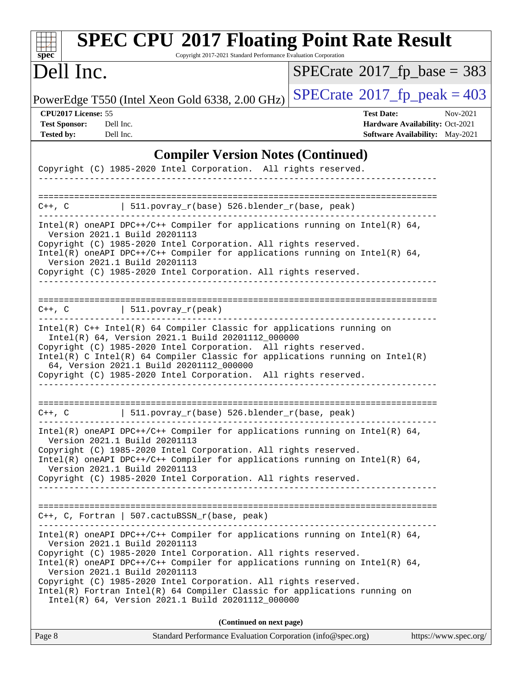| $\mathbf{Spec}^*$                                                                                                                                                                                                                                                                                            | <b>SPEC CPU®2017 Floating Point Rate Result</b><br>Copyright 2017-2021 Standard Performance Evaluation Corporation                                                                                                                           |
|--------------------------------------------------------------------------------------------------------------------------------------------------------------------------------------------------------------------------------------------------------------------------------------------------------------|----------------------------------------------------------------------------------------------------------------------------------------------------------------------------------------------------------------------------------------------|
| Dell Inc.                                                                                                                                                                                                                                                                                                    | $SPECrate$ <sup>®</sup> 2017_fp_base = 383                                                                                                                                                                                                   |
| PowerEdge T550 (Intel Xeon Gold 6338, 2.00 GHz)                                                                                                                                                                                                                                                              | $SPECrate^{\circ}2017$ _fp_peak = 403                                                                                                                                                                                                        |
| CPU2017 License: 55<br><b>Test Sponsor:</b><br>Dell Inc.<br><b>Tested by:</b><br>Dell Inc.                                                                                                                                                                                                                   | <b>Test Date:</b><br>Nov-2021<br>Hardware Availability: Oct-2021<br>Software Availability: May-2021                                                                                                                                          |
| Copyright (C) 1985-2020 Intel Corporation. All rights reserved.                                                                                                                                                                                                                                              | <b>Compiler Version Notes (Continued)</b>                                                                                                                                                                                                    |
| $C++$ , $C$                                                                                                                                                                                                                                                                                                  | 511.povray_r(base) 526.blender_r(base, peak)                                                                                                                                                                                                 |
| Version 2021.1 Build 20201113<br>Copyright (C) 1985-2020 Intel Corporation. All rights reserved.<br>Version 2021.1 Build 20201113<br>Copyright (C) 1985-2020 Intel Corporation. All rights reserved.<br>______________________________                                                                       | Intel(R) oneAPI DPC++/C++ Compiler for applications running on Intel(R) $64$ ,<br>Intel(R) oneAPI DPC++/C++ Compiler for applications running on Intel(R) 64,                                                                                |
| $C++$ , C $\qquad \qquad \vert$ 511.povray_r(peak)                                                                                                                                                                                                                                                           |                                                                                                                                                                                                                                              |
| Intel(R) C++ Intel(R) 64 Compiler Classic for applications running on<br>Intel(R) 64, Version 2021.1 Build 20201112_000000<br>Copyright (C) 1985-2020 Intel Corporation. All rights reserved.<br>64, Version 2021.1 Build 20201112_000000<br>Copyright (C) 1985-2020 Intel Corporation. All rights reserved. | Intel(R) C Intel(R) 64 Compiler Classic for applications running on Intel(R)                                                                                                                                                                 |
| $C++$ , $C$                                                                                                                                                                                                                                                                                                  | 511.povray_r(base) 526.blender_r(base, peak)                                                                                                                                                                                                 |
| Version 2021.1 Build 20201113<br>Copyright (C) 1985-2020 Intel Corporation. All rights reserved.<br>Version 2021.1 Build 20201113<br>Copyright (C) 1985-2020 Intel Corporation. All rights reserved.                                                                                                         | $Intel(R)$ oneAPI DPC++/C++ Compiler for applications running on Intel(R) 64,<br>Intel(R) oneAPI DPC++/C++ Compiler for applications running on Intel(R) $64$ ,<br>----------------------------------                                        |
| C++, C, Fortran   507.cactuBSSN_r(base, peak)                                                                                                                                                                                                                                                                |                                                                                                                                                                                                                                              |
| Version 2021.1 Build 20201113<br>Copyright (C) 1985-2020 Intel Corporation. All rights reserved.<br>Version 2021.1 Build 20201113<br>Copyright (C) 1985-2020 Intel Corporation. All rights reserved.<br>Intel(R) 64, Version 2021.1 Build 20201112_000000                                                    | $Intel(R)$ oneAPI DPC++/C++ Compiler for applications running on Intel(R) 64,<br>Intel(R) oneAPI DPC++/C++ Compiler for applications running on Intel(R) $64$ ,<br>Intel(R) Fortran Intel(R) 64 Compiler Classic for applications running on |
|                                                                                                                                                                                                                                                                                                              | (Continued on next page)                                                                                                                                                                                                                     |

| Page 8 | Standard Performance Evaluation Corporation (info@spec.org) | https://www.spec.org/ |
|--------|-------------------------------------------------------------|-----------------------|
|        |                                                             |                       |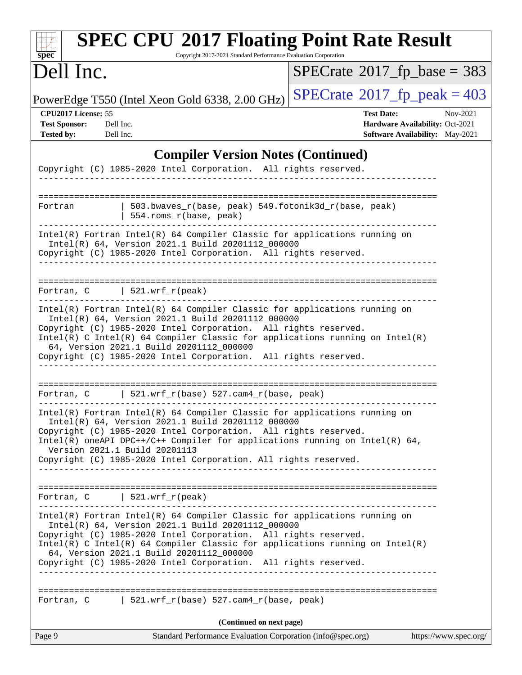| <b>SPEC CPU®2017 Floating Point Rate Result</b><br>Copyright 2017-2021 Standard Performance Evaluation Corporation<br>$spec^*$                                                                                                                                                                                                                                                                   |                                                                                                     |
|--------------------------------------------------------------------------------------------------------------------------------------------------------------------------------------------------------------------------------------------------------------------------------------------------------------------------------------------------------------------------------------------------|-----------------------------------------------------------------------------------------------------|
| Dell Inc.                                                                                                                                                                                                                                                                                                                                                                                        | $SPECrate^{\circ}2017$ fp base = 383                                                                |
| PowerEdge T550 (Intel Xeon Gold 6338, 2.00 GHz)                                                                                                                                                                                                                                                                                                                                                  | $SPECTate@2017_fp\_peak = 403$                                                                      |
| CPU2017 License: 55<br><b>Test Sponsor:</b><br>Dell Inc.<br><b>Tested by:</b><br>Dell Inc.                                                                                                                                                                                                                                                                                                       | <b>Test Date:</b><br>Nov-2021<br>Hardware Availability: Oct-2021<br>Software Availability: May-2021 |
| <b>Compiler Version Notes (Continued)</b>                                                                                                                                                                                                                                                                                                                                                        |                                                                                                     |
| Copyright (C) 1985-2020 Intel Corporation. All rights reserved.                                                                                                                                                                                                                                                                                                                                  |                                                                                                     |
| =======================<br>$503.bwaves_r(base, peak) 549.fotonik3d_r(base, peak)$<br>Fortran<br>554.roms_r(base, peak)                                                                                                                                                                                                                                                                           |                                                                                                     |
| Intel(R) Fortran Intel(R) 64 Compiler Classic for applications running on<br>Intel(R) 64, Version 2021.1 Build 20201112_000000<br>Copyright (C) 1985-2020 Intel Corporation. All rights reserved.                                                                                                                                                                                                |                                                                                                     |
| Fortran, $C$   521.wrf_r(peak)                                                                                                                                                                                                                                                                                                                                                                   |                                                                                                     |
| Intel(R) Fortran Intel(R) 64 Compiler Classic for applications running on<br>Intel(R) 64, Version 2021.1 Build 20201112_000000<br>Copyright (C) 1985-2020 Intel Corporation. All rights reserved.<br>Intel(R) C Intel(R) 64 Compiler Classic for applications running on Intel(R)<br>64, Version 2021.1 Build 20201112_000000<br>Copyright (C) 1985-2020 Intel Corporation. All rights reserved. |                                                                                                     |
| Fortran, C $\vert$ 521.wrf_r(base) 527.cam4_r(base, peak)                                                                                                                                                                                                                                                                                                                                        |                                                                                                     |
| Intel(R) Fortran Intel(R) 64 Compiler Classic for applications running on<br>Intel(R) 64, Version 2021.1 Build 20201112_000000<br>Copyright (C) 1985-2020 Intel Corporation. All rights reserved.<br>Intel(R) oneAPI DPC++/C++ Compiler for applications running on Intel(R) $64$ ,<br>Version 2021.1 Build 20201113<br>Copyright (C) 1985-2020 Intel Corporation. All rights reserved.          |                                                                                                     |
| Fortran, $C$   521.wrf_r(peak)                                                                                                                                                                                                                                                                                                                                                                   |                                                                                                     |
| Intel(R) Fortran Intel(R) 64 Compiler Classic for applications running on<br>Intel(R) 64, Version 2021.1 Build 20201112_000000<br>Copyright (C) 1985-2020 Intel Corporation. All rights reserved.<br>Intel(R) C Intel(R) 64 Compiler Classic for applications running on Intel(R)<br>64, Version 2021.1 Build 20201112_000000<br>Copyright (C) 1985-2020 Intel Corporation. All rights reserved. |                                                                                                     |
| Fortran, C 521.wrf_r(base) 527.cam4_r(base, peak)                                                                                                                                                                                                                                                                                                                                                |                                                                                                     |
| (Continued on next page)                                                                                                                                                                                                                                                                                                                                                                         |                                                                                                     |
| Page 9<br>Standard Performance Evaluation Corporation (info@spec.org)                                                                                                                                                                                                                                                                                                                            | https://www.spec.org/                                                                               |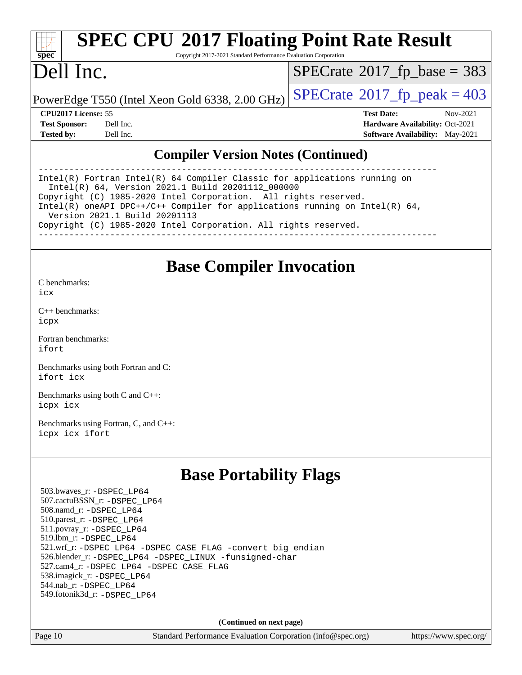# **[spec](http://www.spec.org/)**

# **[SPEC CPU](http://www.spec.org/auto/cpu2017/Docs/result-fields.html#SPECCPU2017FloatingPointRateResult)[2017 Floating Point Rate Result](http://www.spec.org/auto/cpu2017/Docs/result-fields.html#SPECCPU2017FloatingPointRateResult)**

Copyright 2017-2021 Standard Performance Evaluation Corporation

## Dell Inc.

 $SPECTate$ <sup>®</sup>[2017\\_fp\\_base =](http://www.spec.org/auto/cpu2017/Docs/result-fields.html#SPECrate2017fpbase) 383

PowerEdge T550 (Intel Xeon Gold 6338, 2.00 GHz)  $\left|$  [SPECrate](http://www.spec.org/auto/cpu2017/Docs/result-fields.html#SPECrate2017fppeak)®[2017\\_fp\\_peak = 4](http://www.spec.org/auto/cpu2017/Docs/result-fields.html#SPECrate2017fppeak)03

**[CPU2017 License:](http://www.spec.org/auto/cpu2017/Docs/result-fields.html#CPU2017License)** 55 **[Test Date:](http://www.spec.org/auto/cpu2017/Docs/result-fields.html#TestDate)** Nov-2021 **[Test Sponsor:](http://www.spec.org/auto/cpu2017/Docs/result-fields.html#TestSponsor)** Dell Inc. **[Hardware Availability:](http://www.spec.org/auto/cpu2017/Docs/result-fields.html#HardwareAvailability)** Oct-2021 **[Tested by:](http://www.spec.org/auto/cpu2017/Docs/result-fields.html#Testedby)** Dell Inc. **[Software Availability:](http://www.spec.org/auto/cpu2017/Docs/result-fields.html#SoftwareAvailability)** May-2021

### **[Compiler Version Notes \(Continued\)](http://www.spec.org/auto/cpu2017/Docs/result-fields.html#CompilerVersionNotes)**

------------------------------------------------------------------------------ Intel(R) Fortran Intel(R) 64 Compiler Classic for applications running on Intel(R) 64, Version 2021.1 Build 20201112\_000000 Copyright (C) 1985-2020 Intel Corporation. All rights reserved. Intel(R) oneAPI DPC++/C++ Compiler for applications running on Intel(R) 64, Version 2021.1 Build 20201113 Copyright (C) 1985-2020 Intel Corporation. All rights reserved. ------------------------------------------------------------------------------

### **[Base Compiler Invocation](http://www.spec.org/auto/cpu2017/Docs/result-fields.html#BaseCompilerInvocation)**

[C benchmarks](http://www.spec.org/auto/cpu2017/Docs/result-fields.html#Cbenchmarks): [icx](http://www.spec.org/cpu2017/results/res2021q4/cpu2017-20211122-30207.flags.html#user_CCbase_intel_icx_fe2d28d19ae2a5db7c42fe0f2a2aed77cb715edd4aeb23434404a8be6683fe239869bb6ca8154ca98265c2e3b9226a719a0efe2953a4a7018c379b7010ccf087)

[C++ benchmarks:](http://www.spec.org/auto/cpu2017/Docs/result-fields.html#CXXbenchmarks) [icpx](http://www.spec.org/cpu2017/results/res2021q4/cpu2017-20211122-30207.flags.html#user_CXXbase_intel_icpx_1e918ed14c436bf4b9b7c8bcdd51d4539fc71b3df010bd1e9f8732d9c34c2b2914e48204a846820f3c0ebb4095dea797a5c30b458ac0b6dffac65d78f781f5ca)

[Fortran benchmarks](http://www.spec.org/auto/cpu2017/Docs/result-fields.html#Fortranbenchmarks): [ifort](http://www.spec.org/cpu2017/results/res2021q4/cpu2017-20211122-30207.flags.html#user_FCbase_intel_ifort_8111460550e3ca792625aed983ce982f94888b8b503583aa7ba2b8303487b4d8a21a13e7191a45c5fd58ff318f48f9492884d4413fa793fd88dd292cad7027ca)

[Benchmarks using both Fortran and C](http://www.spec.org/auto/cpu2017/Docs/result-fields.html#BenchmarksusingbothFortranandC): [ifort](http://www.spec.org/cpu2017/results/res2021q4/cpu2017-20211122-30207.flags.html#user_CC_FCbase_intel_ifort_8111460550e3ca792625aed983ce982f94888b8b503583aa7ba2b8303487b4d8a21a13e7191a45c5fd58ff318f48f9492884d4413fa793fd88dd292cad7027ca) [icx](http://www.spec.org/cpu2017/results/res2021q4/cpu2017-20211122-30207.flags.html#user_CC_FCbase_intel_icx_fe2d28d19ae2a5db7c42fe0f2a2aed77cb715edd4aeb23434404a8be6683fe239869bb6ca8154ca98265c2e3b9226a719a0efe2953a4a7018c379b7010ccf087)

[Benchmarks using both C and C++](http://www.spec.org/auto/cpu2017/Docs/result-fields.html#BenchmarksusingbothCandCXX): [icpx](http://www.spec.org/cpu2017/results/res2021q4/cpu2017-20211122-30207.flags.html#user_CC_CXXbase_intel_icpx_1e918ed14c436bf4b9b7c8bcdd51d4539fc71b3df010bd1e9f8732d9c34c2b2914e48204a846820f3c0ebb4095dea797a5c30b458ac0b6dffac65d78f781f5ca) [icx](http://www.spec.org/cpu2017/results/res2021q4/cpu2017-20211122-30207.flags.html#user_CC_CXXbase_intel_icx_fe2d28d19ae2a5db7c42fe0f2a2aed77cb715edd4aeb23434404a8be6683fe239869bb6ca8154ca98265c2e3b9226a719a0efe2953a4a7018c379b7010ccf087)

[Benchmarks using Fortran, C, and C++:](http://www.spec.org/auto/cpu2017/Docs/result-fields.html#BenchmarksusingFortranCandCXX) [icpx](http://www.spec.org/cpu2017/results/res2021q4/cpu2017-20211122-30207.flags.html#user_CC_CXX_FCbase_intel_icpx_1e918ed14c436bf4b9b7c8bcdd51d4539fc71b3df010bd1e9f8732d9c34c2b2914e48204a846820f3c0ebb4095dea797a5c30b458ac0b6dffac65d78f781f5ca) [icx](http://www.spec.org/cpu2017/results/res2021q4/cpu2017-20211122-30207.flags.html#user_CC_CXX_FCbase_intel_icx_fe2d28d19ae2a5db7c42fe0f2a2aed77cb715edd4aeb23434404a8be6683fe239869bb6ca8154ca98265c2e3b9226a719a0efe2953a4a7018c379b7010ccf087) [ifort](http://www.spec.org/cpu2017/results/res2021q4/cpu2017-20211122-30207.flags.html#user_CC_CXX_FCbase_intel_ifort_8111460550e3ca792625aed983ce982f94888b8b503583aa7ba2b8303487b4d8a21a13e7191a45c5fd58ff318f48f9492884d4413fa793fd88dd292cad7027ca)

### **[Base Portability Flags](http://www.spec.org/auto/cpu2017/Docs/result-fields.html#BasePortabilityFlags)**

 503.bwaves\_r: [-DSPEC\\_LP64](http://www.spec.org/cpu2017/results/res2021q4/cpu2017-20211122-30207.flags.html#suite_basePORTABILITY503_bwaves_r_DSPEC_LP64) 507.cactuBSSN\_r: [-DSPEC\\_LP64](http://www.spec.org/cpu2017/results/res2021q4/cpu2017-20211122-30207.flags.html#suite_basePORTABILITY507_cactuBSSN_r_DSPEC_LP64) 508.namd\_r: [-DSPEC\\_LP64](http://www.spec.org/cpu2017/results/res2021q4/cpu2017-20211122-30207.flags.html#suite_basePORTABILITY508_namd_r_DSPEC_LP64) 510.parest\_r: [-DSPEC\\_LP64](http://www.spec.org/cpu2017/results/res2021q4/cpu2017-20211122-30207.flags.html#suite_basePORTABILITY510_parest_r_DSPEC_LP64) 511.povray\_r: [-DSPEC\\_LP64](http://www.spec.org/cpu2017/results/res2021q4/cpu2017-20211122-30207.flags.html#suite_basePORTABILITY511_povray_r_DSPEC_LP64) 519.lbm\_r: [-DSPEC\\_LP64](http://www.spec.org/cpu2017/results/res2021q4/cpu2017-20211122-30207.flags.html#suite_basePORTABILITY519_lbm_r_DSPEC_LP64) 521.wrf\_r: [-DSPEC\\_LP64](http://www.spec.org/cpu2017/results/res2021q4/cpu2017-20211122-30207.flags.html#suite_basePORTABILITY521_wrf_r_DSPEC_LP64) [-DSPEC\\_CASE\\_FLAG](http://www.spec.org/cpu2017/results/res2021q4/cpu2017-20211122-30207.flags.html#b521.wrf_r_baseCPORTABILITY_DSPEC_CASE_FLAG) [-convert big\\_endian](http://www.spec.org/cpu2017/results/res2021q4/cpu2017-20211122-30207.flags.html#user_baseFPORTABILITY521_wrf_r_convert_big_endian_c3194028bc08c63ac5d04de18c48ce6d347e4e562e8892b8bdbdc0214820426deb8554edfa529a3fb25a586e65a3d812c835984020483e7e73212c4d31a38223) 526.blender\_r: [-DSPEC\\_LP64](http://www.spec.org/cpu2017/results/res2021q4/cpu2017-20211122-30207.flags.html#suite_basePORTABILITY526_blender_r_DSPEC_LP64) [-DSPEC\\_LINUX](http://www.spec.org/cpu2017/results/res2021q4/cpu2017-20211122-30207.flags.html#b526.blender_r_baseCPORTABILITY_DSPEC_LINUX) [-funsigned-char](http://www.spec.org/cpu2017/results/res2021q4/cpu2017-20211122-30207.flags.html#user_baseCPORTABILITY526_blender_r_force_uchar_40c60f00ab013830e2dd6774aeded3ff59883ba5a1fc5fc14077f794d777847726e2a5858cbc7672e36e1b067e7e5c1d9a74f7176df07886a243d7cc18edfe67) 527.cam4\_r: [-DSPEC\\_LP64](http://www.spec.org/cpu2017/results/res2021q4/cpu2017-20211122-30207.flags.html#suite_basePORTABILITY527_cam4_r_DSPEC_LP64) [-DSPEC\\_CASE\\_FLAG](http://www.spec.org/cpu2017/results/res2021q4/cpu2017-20211122-30207.flags.html#b527.cam4_r_baseCPORTABILITY_DSPEC_CASE_FLAG) 538.imagick\_r: [-DSPEC\\_LP64](http://www.spec.org/cpu2017/results/res2021q4/cpu2017-20211122-30207.flags.html#suite_basePORTABILITY538_imagick_r_DSPEC_LP64) 544.nab\_r: [-DSPEC\\_LP64](http://www.spec.org/cpu2017/results/res2021q4/cpu2017-20211122-30207.flags.html#suite_basePORTABILITY544_nab_r_DSPEC_LP64) 549.fotonik3d\_r: [-DSPEC\\_LP64](http://www.spec.org/cpu2017/results/res2021q4/cpu2017-20211122-30207.flags.html#suite_basePORTABILITY549_fotonik3d_r_DSPEC_LP64)

**(Continued on next page)**

Page 10 Standard Performance Evaluation Corporation [\(info@spec.org\)](mailto:info@spec.org) <https://www.spec.org/>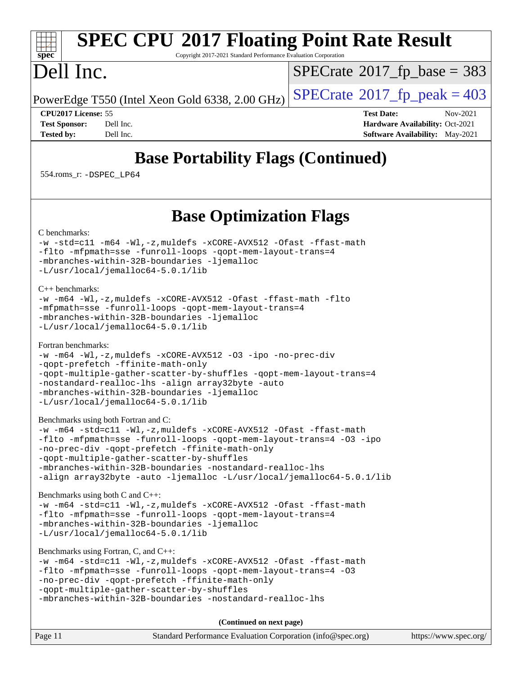### **[SPEC CPU](http://www.spec.org/auto/cpu2017/Docs/result-fields.html#SPECCPU2017FloatingPointRateResult)[2017 Floating Point Rate Result](http://www.spec.org/auto/cpu2017/Docs/result-fields.html#SPECCPU2017FloatingPointRateResult)** Copyright 2017-2021 Standard Performance Evaluation Corporation

# Dell Inc.

**[spec](http://www.spec.org/)**

 $SPECTate$ <sup>®</sup>[2017\\_fp\\_base =](http://www.spec.org/auto/cpu2017/Docs/result-fields.html#SPECrate2017fpbase) 383

PowerEdge T550 (Intel Xeon Gold 6338, 2.00 GHz)  $\left|$  [SPECrate](http://www.spec.org/auto/cpu2017/Docs/result-fields.html#SPECrate2017fppeak)<sup>®</sup>[2017\\_fp\\_peak = 4](http://www.spec.org/auto/cpu2017/Docs/result-fields.html#SPECrate2017fppeak)03

**[CPU2017 License:](http://www.spec.org/auto/cpu2017/Docs/result-fields.html#CPU2017License)** 55 **[Test Date:](http://www.spec.org/auto/cpu2017/Docs/result-fields.html#TestDate)** Nov-2021 **[Test Sponsor:](http://www.spec.org/auto/cpu2017/Docs/result-fields.html#TestSponsor)** Dell Inc. **[Hardware Availability:](http://www.spec.org/auto/cpu2017/Docs/result-fields.html#HardwareAvailability)** Oct-2021 **[Tested by:](http://www.spec.org/auto/cpu2017/Docs/result-fields.html#Testedby)** Dell Inc. Dell Inc. **[Software Availability:](http://www.spec.org/auto/cpu2017/Docs/result-fields.html#SoftwareAvailability)** May-2021

## **[Base Portability Flags \(Continued\)](http://www.spec.org/auto/cpu2017/Docs/result-fields.html#BasePortabilityFlags)**

554.roms\_r: [-DSPEC\\_LP64](http://www.spec.org/cpu2017/results/res2021q4/cpu2017-20211122-30207.flags.html#suite_basePORTABILITY554_roms_r_DSPEC_LP64)

### **[Base Optimization Flags](http://www.spec.org/auto/cpu2017/Docs/result-fields.html#BaseOptimizationFlags)**

[C benchmarks](http://www.spec.org/auto/cpu2017/Docs/result-fields.html#Cbenchmarks):

```
-w-std=c11-m64-Wl,-z,muldefs-xCORE-AVX512-Ofast-ffast-math
-flto -mfpmath=sse -funroll-loops -qopt-mem-layout-trans=4
-mbranches-within-32B-boundaries -ljemalloc
-L/usr/local/jemalloc64-5.0.1/lib
```
[C++ benchmarks:](http://www.spec.org/auto/cpu2017/Docs/result-fields.html#CXXbenchmarks)

```
-w -m64 -Wl,-z,muldefs -xCORE-AVX512 -Ofast -ffast-math -flto
-mfpmath=sse -funroll-loops -qopt-mem-layout-trans=4
-mbranches-within-32B-boundaries -ljemalloc
-L/usr/local/jemalloc64-5.0.1/lib
```
[Fortran benchmarks](http://www.spec.org/auto/cpu2017/Docs/result-fields.html#Fortranbenchmarks):

```
-w -m64 -Wl,-z,muldefs -xCORE-AVX512 -O3 -ipo -no-prec-div
-qopt-prefetch -ffinite-math-only
-qopt-multiple-gather-scatter-by-shuffles -qopt-mem-layout-trans=4
-nostandard-realloc-lhs -align array32byte -auto
-mbranches-within-32B-boundaries -ljemalloc
-L/usr/local/jemalloc64-5.0.1/lib
```
[Benchmarks using both Fortran and C](http://www.spec.org/auto/cpu2017/Docs/result-fields.html#BenchmarksusingbothFortranandC):

```
-w -m64 -std=c11 -Wl,-z,muldefs -xCORE-AVX512 -Ofast -ffast-math
-flto -mfpmath=sse -funroll-loops -qopt-mem-layout-trans=4 -O3 -ipo
-no-prec-div -qopt-prefetch -ffinite-math-only
-qopt-multiple-gather-scatter-by-shuffles
-mbranches-within-32B-boundaries -nostandard-realloc-lhs
-align array32byte -auto -ljemalloc -L/usr/local/jemalloc64-5.0.1/lib
```
[Benchmarks using both C and C++](http://www.spec.org/auto/cpu2017/Docs/result-fields.html#BenchmarksusingbothCandCXX):

```
-w -m64 -std=c11 -Wl,-z,muldefs -xCORE-AVX512 -Ofast -ffast-math
-flto -mfpmath=sse -funroll-loops -qopt-mem-layout-trans=4
-mbranches-within-32B-boundaries -ljemalloc
-L/usr/local/jemalloc64-5.0.1/lib
```
[Benchmarks using Fortran, C, and C++:](http://www.spec.org/auto/cpu2017/Docs/result-fields.html#BenchmarksusingFortranCandCXX)

```
-w -m64 -std=c11 -Wl,-z,muldefs -xCORE-AVX512 -Ofast -ffast-math
-flto -mfpmath=sse -funroll-loops -qopt-mem-layout-trans=4 -O3
-no-prec-div -qopt-prefetch -ffinite-math-only
-qopt-multiple-gather-scatter-by-shuffles
-mbranches-within-32B-boundaries -nostandard-realloc-lhs
```
**(Continued on next page)**

| Page 11 | Standard Performance Evaluation Corporation (info@spec.org) | https://www.spec.org/ |
|---------|-------------------------------------------------------------|-----------------------|
|         |                                                             |                       |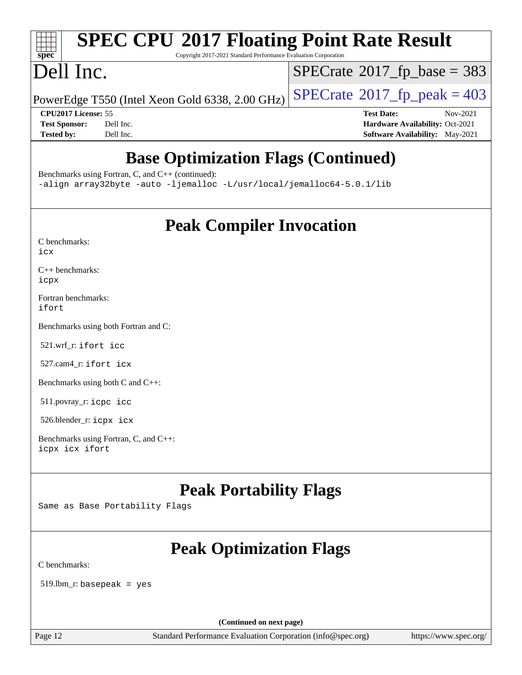### $+\ +$ **[spec](http://www.spec.org/)**

# **[SPEC CPU](http://www.spec.org/auto/cpu2017/Docs/result-fields.html#SPECCPU2017FloatingPointRateResult)[2017 Floating Point Rate Result](http://www.spec.org/auto/cpu2017/Docs/result-fields.html#SPECCPU2017FloatingPointRateResult)**

Copyright 2017-2021 Standard Performance Evaluation Corporation

## Dell Inc.

 $SPECTate$ <sup>®</sup>[2017\\_fp\\_base =](http://www.spec.org/auto/cpu2017/Docs/result-fields.html#SPECrate2017fpbase) 383

PowerEdge T550 (Intel Xeon Gold 6338, 2.00 GHz)  $\left|$  [SPECrate](http://www.spec.org/auto/cpu2017/Docs/result-fields.html#SPECrate2017fppeak)®[2017\\_fp\\_peak = 4](http://www.spec.org/auto/cpu2017/Docs/result-fields.html#SPECrate2017fppeak)03

**[CPU2017 License:](http://www.spec.org/auto/cpu2017/Docs/result-fields.html#CPU2017License)** 55 **[Test Date:](http://www.spec.org/auto/cpu2017/Docs/result-fields.html#TestDate)** Nov-2021 **[Test Sponsor:](http://www.spec.org/auto/cpu2017/Docs/result-fields.html#TestSponsor)** Dell Inc. **[Hardware Availability:](http://www.spec.org/auto/cpu2017/Docs/result-fields.html#HardwareAvailability)** Oct-2021 **[Tested by:](http://www.spec.org/auto/cpu2017/Docs/result-fields.html#Testedby)** Dell Inc. **[Software Availability:](http://www.spec.org/auto/cpu2017/Docs/result-fields.html#SoftwareAvailability)** May-2021

## **[Base Optimization Flags \(Continued\)](http://www.spec.org/auto/cpu2017/Docs/result-fields.html#BaseOptimizationFlags)**

[Benchmarks using Fortran, C, and C++](http://www.spec.org/auto/cpu2017/Docs/result-fields.html#BenchmarksusingFortranCandCXX) (continued):

[-align array32byte](http://www.spec.org/cpu2017/results/res2021q4/cpu2017-20211122-30207.flags.html#user_CC_CXX_FCbase_align_array32byte_b982fe038af199962ba9a80c053b8342c548c85b40b8e86eb3cc33dee0d7986a4af373ac2d51c3f7cf710a18d62fdce2948f201cd044323541f22fc0fffc51b6) [-auto](http://www.spec.org/cpu2017/results/res2021q4/cpu2017-20211122-30207.flags.html#user_CC_CXX_FCbase_f-auto) [-ljemalloc](http://www.spec.org/cpu2017/results/res2021q4/cpu2017-20211122-30207.flags.html#user_CC_CXX_FCbase_jemalloc_link_lib_d1249b907c500fa1c0672f44f562e3d0f79738ae9e3c4a9c376d49f265a04b9c99b167ecedbf6711b3085be911c67ff61f150a17b3472be731631ba4d0471706) [-L/usr/local/jemalloc64-5.0.1/lib](http://www.spec.org/cpu2017/results/res2021q4/cpu2017-20211122-30207.flags.html#user_CC_CXX_FCbase_jemalloc_link_path64_1_cc289568b1a6c0fd3b62c91b824c27fcb5af5e8098e6ad028160d21144ef1b8aef3170d2acf0bee98a8da324cfe4f67d0a3d0c4cc4673d993d694dc2a0df248b)

**[Peak Compiler Invocation](http://www.spec.org/auto/cpu2017/Docs/result-fields.html#PeakCompilerInvocation)**

| C benchmarks: |  |
|---------------|--|
| icx           |  |

[C++ benchmarks:](http://www.spec.org/auto/cpu2017/Docs/result-fields.html#CXXbenchmarks) [icpx](http://www.spec.org/cpu2017/results/res2021q4/cpu2017-20211122-30207.flags.html#user_CXXpeak_intel_icpx_1e918ed14c436bf4b9b7c8bcdd51d4539fc71b3df010bd1e9f8732d9c34c2b2914e48204a846820f3c0ebb4095dea797a5c30b458ac0b6dffac65d78f781f5ca)

[Fortran benchmarks](http://www.spec.org/auto/cpu2017/Docs/result-fields.html#Fortranbenchmarks): [ifort](http://www.spec.org/cpu2017/results/res2021q4/cpu2017-20211122-30207.flags.html#user_FCpeak_intel_ifort_8111460550e3ca792625aed983ce982f94888b8b503583aa7ba2b8303487b4d8a21a13e7191a45c5fd58ff318f48f9492884d4413fa793fd88dd292cad7027ca)

[Benchmarks using both Fortran and C](http://www.spec.org/auto/cpu2017/Docs/result-fields.html#BenchmarksusingbothFortranandC):

521.wrf\_r: [ifort](http://www.spec.org/cpu2017/results/res2021q4/cpu2017-20211122-30207.flags.html#user_peakFCLD521_wrf_r_intel_ifort_8111460550e3ca792625aed983ce982f94888b8b503583aa7ba2b8303487b4d8a21a13e7191a45c5fd58ff318f48f9492884d4413fa793fd88dd292cad7027ca) [icc](http://www.spec.org/cpu2017/results/res2021q4/cpu2017-20211122-30207.flags.html#user_peakCC521_wrf_r_intel_icc_66fc1ee009f7361af1fbd72ca7dcefbb700085f36577c54f309893dd4ec40d12360134090235512931783d35fd58c0460139e722d5067c5574d8eaf2b3e37e92)

527.cam4\_r: [ifort](http://www.spec.org/cpu2017/results/res2021q4/cpu2017-20211122-30207.flags.html#user_peakFCLD527_cam4_r_intel_ifort_8111460550e3ca792625aed983ce982f94888b8b503583aa7ba2b8303487b4d8a21a13e7191a45c5fd58ff318f48f9492884d4413fa793fd88dd292cad7027ca) [icx](http://www.spec.org/cpu2017/results/res2021q4/cpu2017-20211122-30207.flags.html#user_peakCC527_cam4_r_intel_icx_fe2d28d19ae2a5db7c42fe0f2a2aed77cb715edd4aeb23434404a8be6683fe239869bb6ca8154ca98265c2e3b9226a719a0efe2953a4a7018c379b7010ccf087)

[Benchmarks using both C and C++](http://www.spec.org/auto/cpu2017/Docs/result-fields.html#BenchmarksusingbothCandCXX):

511.povray\_r: [icpc](http://www.spec.org/cpu2017/results/res2021q4/cpu2017-20211122-30207.flags.html#user_peakCXXLD511_povray_r_intel_icpc_c510b6838c7f56d33e37e94d029a35b4a7bccf4766a728ee175e80a419847e808290a9b78be685c44ab727ea267ec2f070ec5dc83b407c0218cded6866a35d07) [icc](http://www.spec.org/cpu2017/results/res2021q4/cpu2017-20211122-30207.flags.html#user_peakCC511_povray_r_intel_icc_66fc1ee009f7361af1fbd72ca7dcefbb700085f36577c54f309893dd4ec40d12360134090235512931783d35fd58c0460139e722d5067c5574d8eaf2b3e37e92)

526.blender\_r: [icpx](http://www.spec.org/cpu2017/results/res2021q4/cpu2017-20211122-30207.flags.html#user_peakCXXLD526_blender_r_intel_icpx_1e918ed14c436bf4b9b7c8bcdd51d4539fc71b3df010bd1e9f8732d9c34c2b2914e48204a846820f3c0ebb4095dea797a5c30b458ac0b6dffac65d78f781f5ca) [icx](http://www.spec.org/cpu2017/results/res2021q4/cpu2017-20211122-30207.flags.html#user_peakCC526_blender_r_intel_icx_fe2d28d19ae2a5db7c42fe0f2a2aed77cb715edd4aeb23434404a8be6683fe239869bb6ca8154ca98265c2e3b9226a719a0efe2953a4a7018c379b7010ccf087)

[Benchmarks using Fortran, C, and C++:](http://www.spec.org/auto/cpu2017/Docs/result-fields.html#BenchmarksusingFortranCandCXX) [icpx](http://www.spec.org/cpu2017/results/res2021q4/cpu2017-20211122-30207.flags.html#user_CC_CXX_FCpeak_intel_icpx_1e918ed14c436bf4b9b7c8bcdd51d4539fc71b3df010bd1e9f8732d9c34c2b2914e48204a846820f3c0ebb4095dea797a5c30b458ac0b6dffac65d78f781f5ca) [icx](http://www.spec.org/cpu2017/results/res2021q4/cpu2017-20211122-30207.flags.html#user_CC_CXX_FCpeak_intel_icx_fe2d28d19ae2a5db7c42fe0f2a2aed77cb715edd4aeb23434404a8be6683fe239869bb6ca8154ca98265c2e3b9226a719a0efe2953a4a7018c379b7010ccf087) [ifort](http://www.spec.org/cpu2017/results/res2021q4/cpu2017-20211122-30207.flags.html#user_CC_CXX_FCpeak_intel_ifort_8111460550e3ca792625aed983ce982f94888b8b503583aa7ba2b8303487b4d8a21a13e7191a45c5fd58ff318f48f9492884d4413fa793fd88dd292cad7027ca)

## **[Peak Portability Flags](http://www.spec.org/auto/cpu2017/Docs/result-fields.html#PeakPortabilityFlags)**

Same as Base Portability Flags

## **[Peak Optimization Flags](http://www.spec.org/auto/cpu2017/Docs/result-fields.html#PeakOptimizationFlags)**

[C benchmarks](http://www.spec.org/auto/cpu2017/Docs/result-fields.html#Cbenchmarks):

519.lbm\_r: basepeak = yes

**(Continued on next page)**

Page 12 Standard Performance Evaluation Corporation [\(info@spec.org\)](mailto:info@spec.org) <https://www.spec.org/>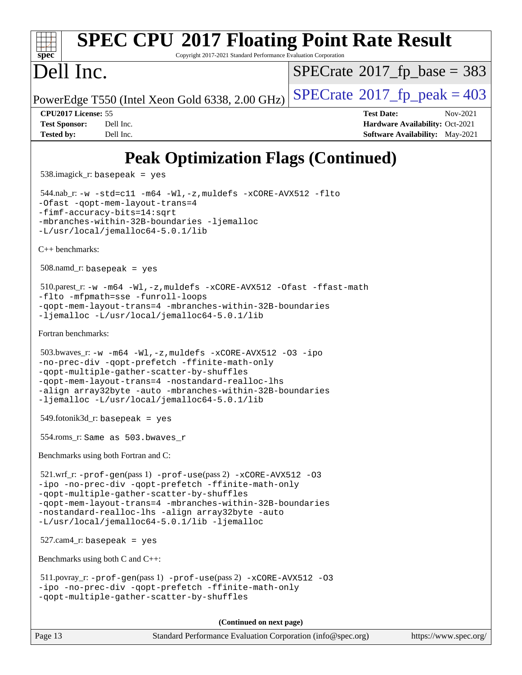### **[spec](http://www.spec.org/) [SPEC CPU](http://www.spec.org/auto/cpu2017/Docs/result-fields.html#SPECCPU2017FloatingPointRateResult)[2017 Floating Point Rate Result](http://www.spec.org/auto/cpu2017/Docs/result-fields.html#SPECCPU2017FloatingPointRateResult)** Copyright 2017-2021 Standard Performance Evaluation Corporation Dell Inc. PowerEdge T550 (Intel Xeon Gold 6338, 2.00 GHz)  $\left|$  [SPECrate](http://www.spec.org/auto/cpu2017/Docs/result-fields.html#SPECrate2017fppeak)<sup>®</sup>[2017\\_fp\\_peak = 4](http://www.spec.org/auto/cpu2017/Docs/result-fields.html#SPECrate2017fppeak)03  $SPECTate$ <sup>®</sup>[2017\\_fp\\_base =](http://www.spec.org/auto/cpu2017/Docs/result-fields.html#SPECrate2017fpbase) 383 **[CPU2017 License:](http://www.spec.org/auto/cpu2017/Docs/result-fields.html#CPU2017License)** 55 **[Test Date:](http://www.spec.org/auto/cpu2017/Docs/result-fields.html#TestDate)** Nov-2021 **[Test Sponsor:](http://www.spec.org/auto/cpu2017/Docs/result-fields.html#TestSponsor)** Dell Inc. **[Hardware Availability:](http://www.spec.org/auto/cpu2017/Docs/result-fields.html#HardwareAvailability)** Oct-2021 **[Tested by:](http://www.spec.org/auto/cpu2017/Docs/result-fields.html#Testedby)** Dell Inc. Dell Inc. **[Software Availability:](http://www.spec.org/auto/cpu2017/Docs/result-fields.html#SoftwareAvailability)** May-2021 **[Peak Optimization Flags \(Continued\)](http://www.spec.org/auto/cpu2017/Docs/result-fields.html#PeakOptimizationFlags)** 538.imagick\_r: basepeak = yes 544.nab\_r: [-w](http://www.spec.org/cpu2017/results/res2021q4/cpu2017-20211122-30207.flags.html#user_peakCCLD544_nab_r_supress_warning_66fb2c4e5c1dd10f38bdd29623979399e5ae75ae6e5453792d82ef66afed381df4a8602f92cac8d2ea0fffa7b93b4b1ccb9ecad4af01c9b2fe338b2082ae3859) [-std=c11](http://www.spec.org/cpu2017/results/res2021q4/cpu2017-20211122-30207.flags.html#user_peakCCLD544_nab_r_std-icc-std_0e1c27790398a4642dfca32ffe6c27b5796f9c2d2676156f2e42c9c44eaad0c049b1cdb667a270c34d979996257aeb8fc440bfb01818dbc9357bd9d174cb8524) [-m64](http://www.spec.org/cpu2017/results/res2021q4/cpu2017-20211122-30207.flags.html#user_peakCCLD544_nab_r_m64-icc) [-Wl,-z,muldefs](http://www.spec.org/cpu2017/results/res2021q4/cpu2017-20211122-30207.flags.html#user_peakEXTRA_LDFLAGS544_nab_r_link_force_multiple1_b4cbdb97b34bdee9ceefcfe54f4c8ea74255f0b02a4b23e853cdb0e18eb4525ac79b5a88067c842dd0ee6996c24547a27a4b99331201badda8798ef8a743f577) [-xCORE-AVX512](http://www.spec.org/cpu2017/results/res2021q4/cpu2017-20211122-30207.flags.html#user_peakCOPTIMIZE544_nab_r_f-xCORE-AVX512) [-flto](http://www.spec.org/cpu2017/results/res2021q4/cpu2017-20211122-30207.flags.html#user_peakCOPTIMIZE544_nab_r_f-flto) [-Ofast](http://www.spec.org/cpu2017/results/res2021q4/cpu2017-20211122-30207.flags.html#user_peakCOPTIMIZE544_nab_r_f-Ofast) [-qopt-mem-layout-trans=4](http://www.spec.org/cpu2017/results/res2021q4/cpu2017-20211122-30207.flags.html#user_peakCOPTIMIZE544_nab_r_f-qopt-mem-layout-trans_fa39e755916c150a61361b7846f310bcdf6f04e385ef281cadf3647acec3f0ae266d1a1d22d972a7087a248fd4e6ca390a3634700869573d231a252c784941a8) [-fimf-accuracy-bits=14:sqrt](http://www.spec.org/cpu2017/results/res2021q4/cpu2017-20211122-30207.flags.html#user_peakEXTRA_OPTIMIZE544_nab_r_f-imf-accuracy-bits_dec3764af0c61f52590ca8f859bc2b38948cb3a9f4bd45f959a8dd6743142ff5c0d5c89fdfba8d7c6d41a5122d7dc4d32797a5effd20a981baa30839b7373d7d) [-mbranches-within-32B-boundaries](http://www.spec.org/cpu2017/results/res2021q4/cpu2017-20211122-30207.flags.html#user_peakEXTRA_COPTIMIZE544_nab_r_f-mbranches-within-32B-boundaries) [-ljemalloc](http://www.spec.org/cpu2017/results/res2021q4/cpu2017-20211122-30207.flags.html#user_peakEXTRA_LIBS544_nab_r_jemalloc_link_lib_d1249b907c500fa1c0672f44f562e3d0f79738ae9e3c4a9c376d49f265a04b9c99b167ecedbf6711b3085be911c67ff61f150a17b3472be731631ba4d0471706) [-L/usr/local/jemalloc64-5.0.1/lib](http://www.spec.org/cpu2017/results/res2021q4/cpu2017-20211122-30207.flags.html#user_peakEXTRA_LIBS544_nab_r_jemalloc_link_path64_1_cc289568b1a6c0fd3b62c91b824c27fcb5af5e8098e6ad028160d21144ef1b8aef3170d2acf0bee98a8da324cfe4f67d0a3d0c4cc4673d993d694dc2a0df248b) [C++ benchmarks:](http://www.spec.org/auto/cpu2017/Docs/result-fields.html#CXXbenchmarks) 508.namd\_r: basepeak = yes 510.parest\_r: [-w](http://www.spec.org/cpu2017/results/res2021q4/cpu2017-20211122-30207.flags.html#user_peakCXXLD510_parest_r_supress_warning_66fb2c4e5c1dd10f38bdd29623979399e5ae75ae6e5453792d82ef66afed381df4a8602f92cac8d2ea0fffa7b93b4b1ccb9ecad4af01c9b2fe338b2082ae3859) [-m64](http://www.spec.org/cpu2017/results/res2021q4/cpu2017-20211122-30207.flags.html#user_peakCXXLD510_parest_r_m64-icc) [-Wl,-z,muldefs](http://www.spec.org/cpu2017/results/res2021q4/cpu2017-20211122-30207.flags.html#user_peakEXTRA_LDFLAGS510_parest_r_link_force_multiple1_b4cbdb97b34bdee9ceefcfe54f4c8ea74255f0b02a4b23e853cdb0e18eb4525ac79b5a88067c842dd0ee6996c24547a27a4b99331201badda8798ef8a743f577) [-xCORE-AVX512](http://www.spec.org/cpu2017/results/res2021q4/cpu2017-20211122-30207.flags.html#user_peakCXXOPTIMIZE510_parest_r_f-xCORE-AVX512) [-Ofast](http://www.spec.org/cpu2017/results/res2021q4/cpu2017-20211122-30207.flags.html#user_peakCXXOPTIMIZE510_parest_r_f-Ofast) [-ffast-math](http://www.spec.org/cpu2017/results/res2021q4/cpu2017-20211122-30207.flags.html#user_peakCXXOPTIMIZE510_parest_r_f-ffast-math) [-flto](http://www.spec.org/cpu2017/results/res2021q4/cpu2017-20211122-30207.flags.html#user_peakCXXOPTIMIZE510_parest_r_f-flto) [-mfpmath=sse](http://www.spec.org/cpu2017/results/res2021q4/cpu2017-20211122-30207.flags.html#user_peakCXXOPTIMIZE510_parest_r_f-mfpmath_70eb8fac26bde974f8ab713bc9086c5621c0b8d2f6c86f38af0bd7062540daf19db5f3a066d8c6684be05d84c9b6322eb3b5be6619d967835195b93d6c02afa1) [-funroll-loops](http://www.spec.org/cpu2017/results/res2021q4/cpu2017-20211122-30207.flags.html#user_peakCXXOPTIMIZE510_parest_r_f-funroll-loops) [-qopt-mem-layout-trans=4](http://www.spec.org/cpu2017/results/res2021q4/cpu2017-20211122-30207.flags.html#user_peakCXXOPTIMIZE510_parest_r_f-qopt-mem-layout-trans_fa39e755916c150a61361b7846f310bcdf6f04e385ef281cadf3647acec3f0ae266d1a1d22d972a7087a248fd4e6ca390a3634700869573d231a252c784941a8) [-mbranches-within-32B-boundaries](http://www.spec.org/cpu2017/results/res2021q4/cpu2017-20211122-30207.flags.html#user_peakEXTRA_CXXOPTIMIZE510_parest_r_f-mbranches-within-32B-boundaries) [-ljemalloc](http://www.spec.org/cpu2017/results/res2021q4/cpu2017-20211122-30207.flags.html#user_peakEXTRA_LIBS510_parest_r_jemalloc_link_lib_d1249b907c500fa1c0672f44f562e3d0f79738ae9e3c4a9c376d49f265a04b9c99b167ecedbf6711b3085be911c67ff61f150a17b3472be731631ba4d0471706) [-L/usr/local/jemalloc64-5.0.1/lib](http://www.spec.org/cpu2017/results/res2021q4/cpu2017-20211122-30207.flags.html#user_peakEXTRA_LIBS510_parest_r_jemalloc_link_path64_1_cc289568b1a6c0fd3b62c91b824c27fcb5af5e8098e6ad028160d21144ef1b8aef3170d2acf0bee98a8da324cfe4f67d0a3d0c4cc4673d993d694dc2a0df248b) [Fortran benchmarks](http://www.spec.org/auto/cpu2017/Docs/result-fields.html#Fortranbenchmarks): 503.bwaves\_r: [-w](http://www.spec.org/cpu2017/results/res2021q4/cpu2017-20211122-30207.flags.html#user_peakFCLD503_bwaves_r_supress_warning_66fb2c4e5c1dd10f38bdd29623979399e5ae75ae6e5453792d82ef66afed381df4a8602f92cac8d2ea0fffa7b93b4b1ccb9ecad4af01c9b2fe338b2082ae3859) [-m64](http://www.spec.org/cpu2017/results/res2021q4/cpu2017-20211122-30207.flags.html#user_peakFCLD503_bwaves_r_m64-icc) [-Wl,-z,muldefs](http://www.spec.org/cpu2017/results/res2021q4/cpu2017-20211122-30207.flags.html#user_peakEXTRA_LDFLAGS503_bwaves_r_link_force_multiple1_b4cbdb97b34bdee9ceefcfe54f4c8ea74255f0b02a4b23e853cdb0e18eb4525ac79b5a88067c842dd0ee6996c24547a27a4b99331201badda8798ef8a743f577) [-xCORE-AVX512](http://www.spec.org/cpu2017/results/res2021q4/cpu2017-20211122-30207.flags.html#user_peakFOPTIMIZE503_bwaves_r_f-xCORE-AVX512) [-O3](http://www.spec.org/cpu2017/results/res2021q4/cpu2017-20211122-30207.flags.html#user_peakFOPTIMIZE503_bwaves_r_f-O3) [-ipo](http://www.spec.org/cpu2017/results/res2021q4/cpu2017-20211122-30207.flags.html#user_peakFOPTIMIZE503_bwaves_r_f-ipo) [-no-prec-div](http://www.spec.org/cpu2017/results/res2021q4/cpu2017-20211122-30207.flags.html#user_peakFOPTIMIZE503_bwaves_r_f-no-prec-div) [-qopt-prefetch](http://www.spec.org/cpu2017/results/res2021q4/cpu2017-20211122-30207.flags.html#user_peakFOPTIMIZE503_bwaves_r_f-qopt-prefetch) [-ffinite-math-only](http://www.spec.org/cpu2017/results/res2021q4/cpu2017-20211122-30207.flags.html#user_peakFOPTIMIZE503_bwaves_r_f_finite_math_only_cb91587bd2077682c4b38af759c288ed7c732db004271a9512da14a4f8007909a5f1427ecbf1a0fb78ff2a814402c6114ac565ca162485bbcae155b5e4258871) [-qopt-multiple-gather-scatter-by-shuffles](http://www.spec.org/cpu2017/results/res2021q4/cpu2017-20211122-30207.flags.html#user_peakFOPTIMIZE503_bwaves_r_f-qopt-multiple-gather-scatter-by-shuffles) [-qopt-mem-layout-trans=4](http://www.spec.org/cpu2017/results/res2021q4/cpu2017-20211122-30207.flags.html#user_peakFOPTIMIZE503_bwaves_r_f-qopt-mem-layout-trans_fa39e755916c150a61361b7846f310bcdf6f04e385ef281cadf3647acec3f0ae266d1a1d22d972a7087a248fd4e6ca390a3634700869573d231a252c784941a8) [-nostandard-realloc-lhs](http://www.spec.org/cpu2017/results/res2021q4/cpu2017-20211122-30207.flags.html#user_peakEXTRA_FOPTIMIZE503_bwaves_r_f_2003_std_realloc_82b4557e90729c0f113870c07e44d33d6f5a304b4f63d4c15d2d0f1fab99f5daaed73bdb9275d9ae411527f28b936061aa8b9c8f2d63842963b95c9dd6426b8a) [-align array32byte](http://www.spec.org/cpu2017/results/res2021q4/cpu2017-20211122-30207.flags.html#user_peakEXTRA_FOPTIMIZE503_bwaves_r_align_array32byte_b982fe038af199962ba9a80c053b8342c548c85b40b8e86eb3cc33dee0d7986a4af373ac2d51c3f7cf710a18d62fdce2948f201cd044323541f22fc0fffc51b6) [-auto](http://www.spec.org/cpu2017/results/res2021q4/cpu2017-20211122-30207.flags.html#user_peakEXTRA_FOPTIMIZE503_bwaves_r_f-auto) [-mbranches-within-32B-boundaries](http://www.spec.org/cpu2017/results/res2021q4/cpu2017-20211122-30207.flags.html#user_peakEXTRA_FOPTIMIZE503_bwaves_r_f-mbranches-within-32B-boundaries) [-ljemalloc](http://www.spec.org/cpu2017/results/res2021q4/cpu2017-20211122-30207.flags.html#user_peakEXTRA_LIBS503_bwaves_r_jemalloc_link_lib_d1249b907c500fa1c0672f44f562e3d0f79738ae9e3c4a9c376d49f265a04b9c99b167ecedbf6711b3085be911c67ff61f150a17b3472be731631ba4d0471706) [-L/usr/local/jemalloc64-5.0.1/lib](http://www.spec.org/cpu2017/results/res2021q4/cpu2017-20211122-30207.flags.html#user_peakEXTRA_LIBS503_bwaves_r_jemalloc_link_path64_1_cc289568b1a6c0fd3b62c91b824c27fcb5af5e8098e6ad028160d21144ef1b8aef3170d2acf0bee98a8da324cfe4f67d0a3d0c4cc4673d993d694dc2a0df248b)  $549.$ fotonik $3d$ \_r: basepeak = yes 554.roms\_r: Same as 503.bwaves\_r [Benchmarks using both Fortran and C](http://www.spec.org/auto/cpu2017/Docs/result-fields.html#BenchmarksusingbothFortranandC):  $521.\text{wrf}_r$ :  $-\text{prof}-\text{gen}(pass 1)$   $-\text{prof}-\text{use}(pass 2)$   $-\text{xCORE}-\text{AVX}512$  [-O3](http://www.spec.org/cpu2017/results/res2021q4/cpu2017-20211122-30207.flags.html#user_peakCOPTIMIZE521_wrf_r_f-O3) [-ipo](http://www.spec.org/cpu2017/results/res2021q4/cpu2017-20211122-30207.flags.html#user_peakCOPTIMIZE521_wrf_r_f-ipo) [-no-prec-div](http://www.spec.org/cpu2017/results/res2021q4/cpu2017-20211122-30207.flags.html#user_peakCOPTIMIZE521_wrf_r_f-no-prec-div) [-qopt-prefetch](http://www.spec.org/cpu2017/results/res2021q4/cpu2017-20211122-30207.flags.html#user_peakCOPTIMIZE521_wrf_r_f-qopt-prefetch) [-ffinite-math-only](http://www.spec.org/cpu2017/results/res2021q4/cpu2017-20211122-30207.flags.html#user_peakCOPTIMIZE521_wrf_r_f_finite_math_only_cb91587bd2077682c4b38af759c288ed7c732db004271a9512da14a4f8007909a5f1427ecbf1a0fb78ff2a814402c6114ac565ca162485bbcae155b5e4258871) [-qopt-multiple-gather-scatter-by-shuffles](http://www.spec.org/cpu2017/results/res2021q4/cpu2017-20211122-30207.flags.html#user_peakCOPTIMIZE521_wrf_r_f-qopt-multiple-gather-scatter-by-shuffles) [-qopt-mem-layout-trans=4](http://www.spec.org/cpu2017/results/res2021q4/cpu2017-20211122-30207.flags.html#user_peakCOPTIMIZE521_wrf_r_f-qopt-mem-layout-trans_fa39e755916c150a61361b7846f310bcdf6f04e385ef281cadf3647acec3f0ae266d1a1d22d972a7087a248fd4e6ca390a3634700869573d231a252c784941a8) [-mbranches-within-32B-boundaries](http://www.spec.org/cpu2017/results/res2021q4/cpu2017-20211122-30207.flags.html#user_peakEXTRA_COPTIMIZEEXTRA_FOPTIMIZE521_wrf_r_f-mbranches-within-32B-boundaries) [-nostandard-realloc-lhs](http://www.spec.org/cpu2017/results/res2021q4/cpu2017-20211122-30207.flags.html#user_peakEXTRA_FOPTIMIZE521_wrf_r_f_2003_std_realloc_82b4557e90729c0f113870c07e44d33d6f5a304b4f63d4c15d2d0f1fab99f5daaed73bdb9275d9ae411527f28b936061aa8b9c8f2d63842963b95c9dd6426b8a) [-align array32byte](http://www.spec.org/cpu2017/results/res2021q4/cpu2017-20211122-30207.flags.html#user_peakEXTRA_FOPTIMIZE521_wrf_r_align_array32byte_b982fe038af199962ba9a80c053b8342c548c85b40b8e86eb3cc33dee0d7986a4af373ac2d51c3f7cf710a18d62fdce2948f201cd044323541f22fc0fffc51b6) [-auto](http://www.spec.org/cpu2017/results/res2021q4/cpu2017-20211122-30207.flags.html#user_peakEXTRA_FOPTIMIZE521_wrf_r_f-auto) [-L/usr/local/jemalloc64-5.0.1/lib](http://www.spec.org/cpu2017/results/res2021q4/cpu2017-20211122-30207.flags.html#user_peakEXTRA_LIBS521_wrf_r_jemalloc_link_path64_1_cc289568b1a6c0fd3b62c91b824c27fcb5af5e8098e6ad028160d21144ef1b8aef3170d2acf0bee98a8da324cfe4f67d0a3d0c4cc4673d993d694dc2a0df248b) [-ljemalloc](http://www.spec.org/cpu2017/results/res2021q4/cpu2017-20211122-30207.flags.html#user_peakEXTRA_LIBS521_wrf_r_jemalloc_link_lib_d1249b907c500fa1c0672f44f562e3d0f79738ae9e3c4a9c376d49f265a04b9c99b167ecedbf6711b3085be911c67ff61f150a17b3472be731631ba4d0471706)  $527.cam4_r:$  basepeak = yes [Benchmarks using both C and C++](http://www.spec.org/auto/cpu2017/Docs/result-fields.html#BenchmarksusingbothCandCXX): 511.povray\_r: [-prof-gen](http://www.spec.org/cpu2017/results/res2021q4/cpu2017-20211122-30207.flags.html#user_peakPASS1_CFLAGSPASS1_CXXFLAGSPASS1_LDFLAGS511_povray_r_prof_gen_5aa4926d6013ddb2a31985c654b3eb18169fc0c6952a63635c234f711e6e63dd76e94ad52365559451ec499a2cdb89e4dc58ba4c67ef54ca681ffbe1461d6b36)(pass 1) [-prof-use](http://www.spec.org/cpu2017/results/res2021q4/cpu2017-20211122-30207.flags.html#user_peakPASS2_CFLAGSPASS2_CXXFLAGSPASS2_LDFLAGS511_povray_r_prof_use_1a21ceae95f36a2b53c25747139a6c16ca95bd9def2a207b4f0849963b97e94f5260e30a0c64f4bb623698870e679ca08317ef8150905d41bd88c6f78df73f19)(pass 2) [-xCORE-AVX512](http://www.spec.org/cpu2017/results/res2021q4/cpu2017-20211122-30207.flags.html#user_peakCOPTIMIZECXXOPTIMIZE511_povray_r_f-xCORE-AVX512) [-O3](http://www.spec.org/cpu2017/results/res2021q4/cpu2017-20211122-30207.flags.html#user_peakCOPTIMIZECXXOPTIMIZE511_povray_r_f-O3) [-ipo](http://www.spec.org/cpu2017/results/res2021q4/cpu2017-20211122-30207.flags.html#user_peakCOPTIMIZECXXOPTIMIZE511_povray_r_f-ipo) [-no-prec-div](http://www.spec.org/cpu2017/results/res2021q4/cpu2017-20211122-30207.flags.html#user_peakCOPTIMIZECXXOPTIMIZE511_povray_r_f-no-prec-div) [-qopt-prefetch](http://www.spec.org/cpu2017/results/res2021q4/cpu2017-20211122-30207.flags.html#user_peakCOPTIMIZECXXOPTIMIZE511_povray_r_f-qopt-prefetch) [-ffinite-math-only](http://www.spec.org/cpu2017/results/res2021q4/cpu2017-20211122-30207.flags.html#user_peakCOPTIMIZECXXOPTIMIZE511_povray_r_f_finite_math_only_cb91587bd2077682c4b38af759c288ed7c732db004271a9512da14a4f8007909a5f1427ecbf1a0fb78ff2a814402c6114ac565ca162485bbcae155b5e4258871) [-qopt-multiple-gather-scatter-by-shuffles](http://www.spec.org/cpu2017/results/res2021q4/cpu2017-20211122-30207.flags.html#user_peakCOPTIMIZECXXOPTIMIZE511_povray_r_f-qopt-multiple-gather-scatter-by-shuffles) **(Continued on next page)**